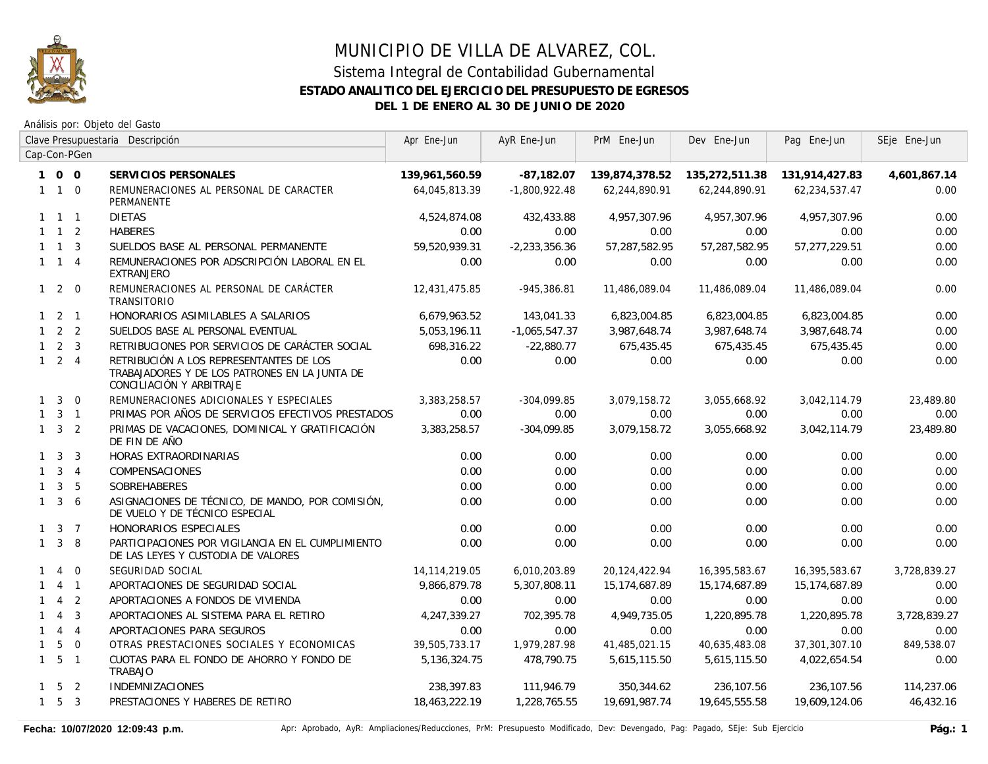

|              |                     |                | Clave Presupuestaria Descripción                                                                                     | Apr Ene-Jun     | AyR Ene-Jun     | PrM Ene-Jun    | Dev Ene-Jun    | Pag Ene-Jun    | SEje Ene-Jun |
|--------------|---------------------|----------------|----------------------------------------------------------------------------------------------------------------------|-----------------|-----------------|----------------|----------------|----------------|--------------|
|              |                     | Cap-Con-PGen   |                                                                                                                      |                 |                 |                |                |                |              |
|              | 100                 |                | SERVICIOS PERSONALES                                                                                                 | 139,961,560.59  | $-87,182.07$    | 139,874,378.52 | 135,272,511.38 | 131,914,427.83 | 4,601,867.14 |
|              | $1\quad1\quad0$     |                | REMUNERACIONES AL PERSONAL DE CARACTER<br><b>PERMANENTE</b>                                                          | 64,045,813.39   | $-1,800,922.48$ | 62,244,890.91  | 62,244,890.91  | 62,234,537.47  | 0.00         |
|              | $1 \quad 1 \quad 1$ |                | <b>DIETAS</b>                                                                                                        | 4,524,874.08    | 432,433.88      | 4,957,307.96   | 4,957,307.96   | 4,957,307.96   | 0.00         |
|              | $1 \quad 1 \quad 2$ |                | <b>HABERES</b>                                                                                                       | 0.00            | 0.00            | 0.00           | 0.00           | 0.00           | 0.00         |
|              | $1 \quad 1 \quad 3$ |                | SUELDOS BASE AL PERSONAL PERMANENTE                                                                                  | 59,520,939.31   | $-2,233,356.36$ | 57,287,582.95  | 57,287,582.95  | 57,277,229.51  | 0.00         |
|              | $1 \quad 1 \quad 4$ |                | REMUNERACIONES POR ADSCRIPCIÓN LABORAL EN EL<br><b>EXTRANJERO</b>                                                    | 0.00            | 0.00            | 0.00           | 0.00           | 0.00           | 0.00         |
|              | $1\quad2\quad0$     |                | REMUNERACIONES AL PERSONAL DE CARÁCTER<br><b>TRANSITORIO</b>                                                         | 12,431,475.85   | $-945,386.81$   | 11,486,089.04  | 11,486,089.04  | 11,486,089.04  | 0.00         |
|              | $1 \quad 2 \quad 1$ |                | HONORARIOS ASIMILABLES A SALARIOS                                                                                    | 6,679,963.52    | 143,041.33      | 6,823,004.85   | 6,823,004.85   | 6,823,004.85   | 0.00         |
|              | $1 \quad 2 \quad 2$ |                | SUELDOS BASE AL PERSONAL EVENTUAL                                                                                    | 5,053,196.11    | $-1,065,547.37$ | 3,987,648.74   | 3,987,648.74   | 3,987,648.74   | 0.00         |
|              | $1 \quad 2 \quad 3$ |                | RETRIBUCIONES POR SERVICIOS DE CARÁCTER SOCIAL                                                                       | 698,316.22      | $-22,880.77$    | 675,435.45     | 675,435.45     | 675,435.45     | 0.00         |
|              | $1 \quad 2 \quad 4$ |                | RETRIBUCIÓN A LOS REPRESENTANTES DE LOS<br>TRABAJADORES Y DE LOS PATRONES EN LA JUNTA DE<br>CONCILIACIÓN Y ARBITRAJE | 0.00            | 0.00            | 0.00           | 0.00           | 0.00           | 0.00         |
|              | $1 \quad 3$         | $\overline{0}$ | REMUNERACIONES ADICIONALES Y ESPECIALES                                                                              | 3,383,258.57    | $-304,099.85$   | 3,079,158.72   | 3,055,668.92   | 3,042,114.79   | 23,489.80    |
|              | $1 \quad 3 \quad 1$ |                | PRIMAS POR AÑOS DE SERVICIOS EFECTIVOS PRESTADOS                                                                     | 0.00            | 0.00            | 0.00           | 0.00           | 0.00           | 0.00         |
|              | $1 \quad 3 \quad 2$ |                | PRIMAS DE VACACIONES, DOMINICAL Y GRATIFICACIÓN<br>DE FIN DE AÑO                                                     | 3,383,258.57    | $-304,099.85$   | 3,079,158.72   | 3,055,668.92   | 3,042,114.79   | 23,489.80    |
|              | $1 \quad 3$         | $\overline{3}$ | HORAS EXTRAORDINARIAS                                                                                                | 0.00            | 0.00            | 0.00           | 0.00           | 0.00           | 0.00         |
|              | $1 \quad 3 \quad 4$ |                | COMPENSACIONES                                                                                                       | 0.00            | 0.00            | 0.00           | 0.00           | 0.00           | 0.00         |
| $\mathbf{1}$ | $\mathbf{3}$        | 5              | <b>SOBREHABERES</b>                                                                                                  | 0.00            | 0.00            | 0.00           | 0.00           | 0.00           | 0.00         |
|              | $1 \quad 3 \quad 6$ |                | ASIGNACIONES DE TÉCNICO, DE MANDO, POR COMISIÓN,<br>DE VUELO Y DE TÉCNICO ESPECIAL                                   | 0.00            | 0.00            | 0.00           | 0.00           | 0.00           | 0.00         |
|              | $1 \quad 3 \quad 7$ |                | HONORARIOS ESPECIALES                                                                                                | 0.00            | 0.00            | 0.00           | 0.00           | 0.00           | 0.00         |
|              | $1 \quad 3 \quad 8$ |                | PARTICIPACIONES POR VIGILANCIA EN EL CUMPLIMIENTO<br>DE LAS LEYES Y CUSTODIA DE VALORES                              | 0.00            | 0.00            | 0.00           | 0.00           | 0.00           | 0.00         |
| $\mathbf{1}$ | $\overline{4}$      | $\overline{0}$ | SEGURIDAD SOCIAL                                                                                                     | 14, 114, 219.05 | 6,010,203.89    | 20,124,422.94  | 16,395,583.67  | 16,395,583.67  | 3,728,839.27 |
|              |                     | $4 \quad 1$    | APORTACIONES DE SEGURIDAD SOCIAL                                                                                     | 9,866,879.78    | 5,307,808.11    | 15,174,687.89  | 15,174,687.89  | 15,174,687.89  | 0.00         |
|              | $\overline{4}$      | $\overline{2}$ | APORTACIONES A FONDOS DE VIVIENDA                                                                                    | 0.00            | 0.00            | 0.00           | 0.00           | 0.00           | 0.00         |
| $\mathbf{1}$ | $\overline{4}$      | $\overline{3}$ | APORTACIONES AL SISTEMA PARA EL RETIRO                                                                               | 4,247,339.27    | 702,395.78      | 4,949,735.05   | 1,220,895.78   | 1,220,895.78   | 3,728,839.27 |
| $\mathbf{1}$ |                     | $4 \quad 4$    | APORTACIONES PARA SEGUROS                                                                                            | 0.00            | 0.00            | 0.00           | 0.00           | 0.00           | 0.00         |
| $\mathbf{1}$ | 5                   | $\overline{0}$ | OTRAS PRESTACIONES SOCIALES Y ECONOMICAS                                                                             | 39,505,733.17   | 1,979,287.98    | 41,485,021.15  | 40,635,483.08  | 37,301,307.10  | 849,538.07   |
|              | $1\quad 5\quad 1$   |                | CUOTAS PARA EL FONDO DE AHORRO Y FONDO DE<br>TRABAJO                                                                 | 5,136,324.75    | 478,790.75      | 5,615,115.50   | 5,615,115.50   | 4,022,654.54   | 0.00         |
|              | $1 \quad 5 \quad 2$ |                | <b>INDEMNIZACIONES</b>                                                                                               | 238,397.83      | 111,946.79      | 350,344.62     | 236,107.56     | 236,107.56     | 114,237.06   |
|              | $1\quad 5\quad 3$   |                | PRESTACIONES Y HABERES DE RETIRO                                                                                     | 18,463,222.19   | 1,228,765.55    | 19,691,987.74  | 19,645,555.58  | 19,609,124.06  | 46,432.16    |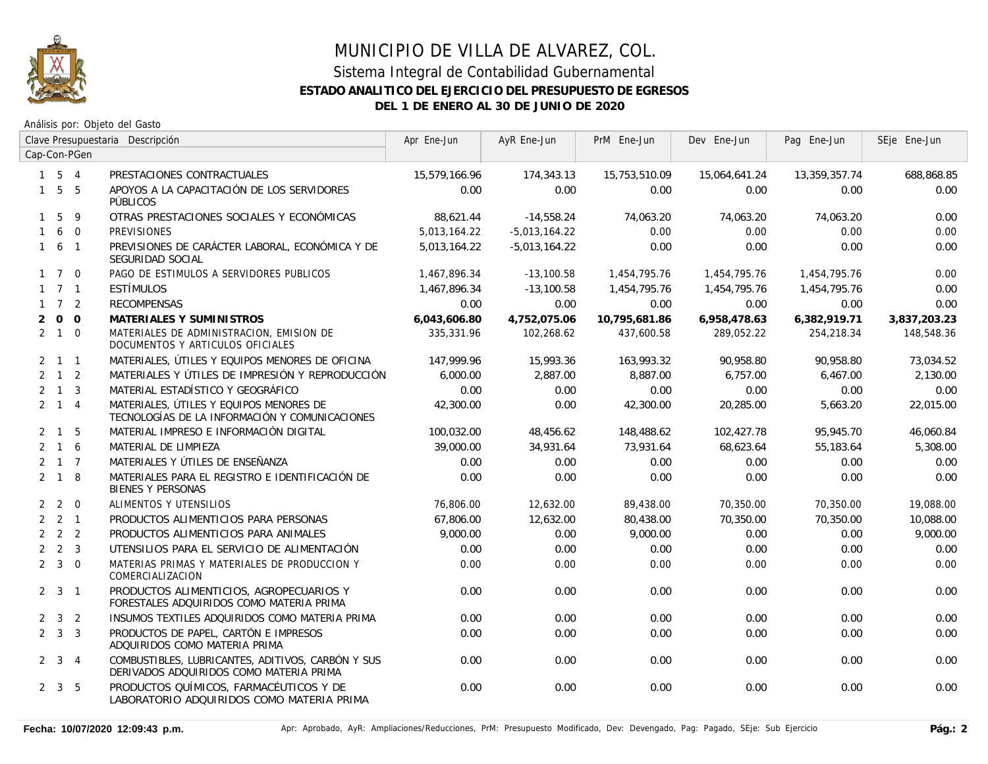

|              |                     |              | Clave Presupuestaria Descripción                                                             | Apr Ene-Jun   | AyR Ene-Jun     | PrM Ene-Jun   | Dev Ene-Jun   | Pag Ene-Jun   | SEje Ene-Jun |
|--------------|---------------------|--------------|----------------------------------------------------------------------------------------------|---------------|-----------------|---------------|---------------|---------------|--------------|
|              |                     | Cap-Con-PGen |                                                                                              |               |                 |               |               |               |              |
|              | $1\quad 5\quad 4$   |              | PRESTACIONES CONTRACTUALES                                                                   | 15,579,166.96 | 174,343.13      | 15,753,510.09 | 15,064,641.24 | 13,359,357.74 | 688,868.85   |
|              | $1\quad 5\quad 5$   |              | APOYOS A LA CAPACITACIÓN DE LOS SERVIDORES<br>PÚBLICOS                                       | 0.00          | 0.00            | 0.00          | 0.00          | 0.00          | 0.00         |
|              | $1\quad5$           | - 9          | OTRAS PRESTACIONES SOCIALES Y ECONÓMICAS                                                     | 88,621.44     | $-14,558.24$    | 74,063.20     | 74,063.20     | 74,063.20     | 0.00         |
| $\mathbf{1}$ |                     | 6 0          | <b>PREVISIONES</b>                                                                           | 5,013,164.22  | $-5,013,164.22$ | 0.00          | 0.00          | 0.00          | 0.00         |
|              | $1\quad 6\quad 1$   |              | PREVISIONES DE CARÁCTER LABORAL, ECONÓMICA Y DE<br>SEGURIDAD SOCIAL                          | 5,013,164.22  | $-5,013,164.22$ | 0.00          | 0.00          | 0.00          | 0.00         |
|              | $1 \quad 7 \quad 0$ |              | PAGO DE ESTIMULOS A SERVIDORES PUBLICOS                                                      | 1,467,896.34  | $-13,100.58$    | 1,454,795.76  | 1,454,795.76  | 1,454,795.76  | 0.00         |
|              | $1 \quad 7 \quad 1$ |              | <b>ESTÍMULOS</b>                                                                             | 1,467,896.34  | $-13,100.58$    | 1,454,795.76  | 1,454,795.76  | 1,454,795.76  | 0.00         |
|              | $1 \quad 7 \quad 2$ |              | <b>RECOMPENSAS</b>                                                                           | 0.00          | 0.00            | 0.00          | 0.00          | 0.00          | 0.00         |
| 2            | $0\quad 0$          |              | MATERIALES Y SUMINISTROS                                                                     | 6,043,606.80  | 4,752,075.06    | 10,795,681.86 | 6,958,478.63  | 6,382,919.71  | 3,837,203.23 |
|              | $2 \quad 1 \quad 0$ |              | MATERIALES DE ADMINISTRACION, EMISION DE<br>DOCUMENTOS Y ARTICULOS OFICIALES                 | 335,331.96    | 102,268.62      | 437,600.58    | 289,052.22    | 254,218.34    | 148,548.36   |
|              | $2 \quad 1 \quad 1$ |              | MATERIALES, ÚTILES Y EQUIPOS MENORES DE OFICINA                                              | 147.999.96    | 15,993.36       | 163,993.32    | 90,958.80     | 90,958.80     | 73,034.52    |
|              | $2 \quad 1 \quad 2$ |              | MATERIALES Y ÚTILES DE IMPRESIÓN Y REPRODUCCIÓN                                              | 6,000.00      | 2,887.00        | 8,887.00      | 6,757.00      | 6,467.00      | 2,130.00     |
|              | $2 \quad 1 \quad 3$ |              | MATERIAL ESTADÍSTICO Y GEOGRÁFICO                                                            | 0.00          | 0.00            | 0.00          | 0.00          | 0.00          | 0.00         |
|              | $2 \quad 1 \quad 4$ |              | MATERIALES, ÚTILES Y EQUIPOS MENORES DE<br>TECNOLOGÍAS DE LA INFORMACIÓN Y COMUNICACIONES    | 42,300.00     | 0.00            | 42,300.00     | 20,285.00     | 5,663.20      | 22.015.00    |
|              | $2 \quad 1 \quad 5$ |              | MATERIAL IMPRESO E INFORMACIÓN DIGITAL                                                       | 100,032.00    | 48,456.62       | 148,488.62    | 102,427.78    | 95,945.70     | 46,060.84    |
|              | $2 \t1 \t6$         |              | MATERIAL DE LIMPIEZA                                                                         | 39,000.00     | 34,931.64       | 73,931.64     | 68,623.64     | 55,183.64     | 5,308.00     |
|              | $2 \t1 \t7$         |              | MATERIALES Y ÚTILES DE ENSEÑANZA                                                             | 0.00          | 0.00            | 0.00          | 0.00          | 0.00          | 0.00         |
|              | $2 \quad 1 \quad 8$ |              | MATERIALES PARA EL REGISTRO E IDENTIFICACIÓN DE<br><b>BIENES Y PERSONAS</b>                  | 0.00          | 0.00            | 0.00          | 0.00          | 0.00          | 0.00         |
|              | $2\quad 2\quad 0$   |              | ALIMENTOS Y UTENSILIOS                                                                       | 76,806.00     | 12,632.00       | 89,438.00     | 70,350.00     | 70,350.00     | 19,088.00    |
|              | $2 \quad 2 \quad 1$ |              | PRODUCTOS ALIMENTICIOS PARA PERSONAS                                                         | 67.806.00     | 12,632.00       | 80,438.00     | 70.350.00     | 70,350.00     | 10,088.00    |
|              | $2 \quad 2 \quad 2$ |              | PRODUCTOS ALIMENTICIOS PARA ANIMALES                                                         | 9,000.00      | 0.00            | 9,000.00      | 0.00          | 0.00          | 9,000.00     |
|              | $2 \quad 2 \quad 3$ |              | UTENSILIOS PARA EL SERVICIO DE ALIMENTACIÓN                                                  | 0.00          | 0.00            | 0.00          | 0.00          | 0.00          | 0.00         |
|              | $2 \quad 3 \quad 0$ |              | MATERIAS PRIMAS Y MATERIALES DE PRODUCCION Y<br>COMERCIALIZACION                             | 0.00          | 0.00            | 0.00          | 0.00          | 0.00          | 0.00         |
|              | $2 \quad 3 \quad 1$ |              | PRODUCTOS ALIMENTICIOS, AGROPECUARIOS Y<br>FORESTALES ADQUIRIDOS COMO MATERIA PRIMA          | 0.00          | 0.00            | 0.00          | 0.00          | 0.00          | 0.00         |
|              | $2 \quad 3 \quad 2$ |              | INSUMOS TEXTILES ADQUIRIDOS COMO MATERIA PRIMA                                               | 0.00          | 0.00            | 0.00          | 0.00          | 0.00          | 0.00         |
|              | $2 \quad 3 \quad 3$ |              | PRODUCTOS DE PAPEL, CARTÓN E IMPRESOS<br>ADQUIRIDOS COMO MATERIA PRIMA                       | 0.00          | 0.00            | 0.00          | 0.00          | 0.00          | 0.00         |
|              | $2 \quad 3 \quad 4$ |              | COMBUSTIBLES, LUBRICANTES, ADITIVOS, CARBÓN Y SUS<br>DERIVADOS ADQUIRIDOS COMO MATERIA PRIMA | 0.00          | 0.00            | 0.00          | 0.00          | 0.00          | 0.00         |
|              | $2 \quad 3 \quad 5$ |              | PRODUCTOS QUÍMICOS, FARMACÉUTICOS Y DE<br>LABORATORIO ADQUIRIDOS COMO MATERIA PRIMA          | 0.00          | 0.00            | 0.00          | 0.00          | 0.00          | 0.00         |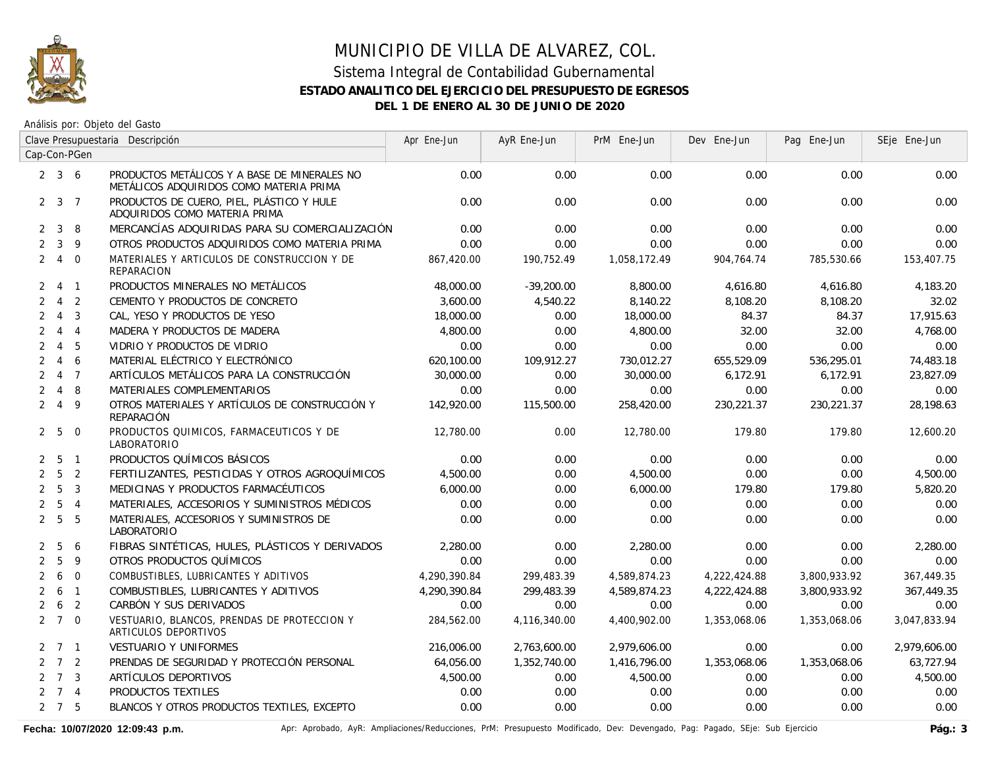

Análisis por: Objeto del Gasto

|                |                     | Clave Presupuestaria Descripción |                                                                                         | Apr Ene-Jun  | AyR Ene-Jun  | PrM Ene-Jun  | Dev Ene-Jun  | Pag Ene-Jun  | SEje Ene-Jun |
|----------------|---------------------|----------------------------------|-----------------------------------------------------------------------------------------|--------------|--------------|--------------|--------------|--------------|--------------|
|                |                     | Cap-Con-PGen                     |                                                                                         |              |              |              |              |              |              |
|                | $2 \quad 3 \quad 6$ |                                  | PRODUCTOS METÁLICOS Y A BASE DE MINERALES NO<br>METÁLICOS ADQUIRIDOS COMO MATERIA PRIMA | 0.00         | 0.00         | 0.00         | 0.00         | 0.00         | 0.00         |
|                | $2 \t3 \t7$         |                                  | PRODUCTOS DE CUERO, PIEL, PLÁSTICO Y HULE<br>ADQUIRIDOS COMO MATERIA PRIMA              | 0.00         | 0.00         | 0.00         | 0.00         | 0.00         | 0.00         |
| $\overline{2}$ | 3                   | 8                                | MERCANCÍAS ADQUIRIDAS PARA SU COMERCIALIZACIÓN                                          | 0.00         | 0.00         | 0.00         | 0.00         | 0.00         | 0.00         |
| $\overline{2}$ | $\mathbf{3}$        | 9                                | OTROS PRODUCTOS ADQUIRIDOS COMO MATERIA PRIMA                                           | 0.00         | 0.00         | 0.00         | 0.00         | 0.00         | 0.00         |
|                | $2 \quad 4$         | $\overline{0}$                   | MATERIALES Y ARTICULOS DE CONSTRUCCION Y DE<br><b>REPARACION</b>                        | 867,420.00   | 190,752.49   | 1,058,172.49 | 904,764.74   | 785,530.66   | 153,407.75   |
|                | $2 \t 4 \t 1$       |                                  | PRODUCTOS MINERALES NO METÁLICOS                                                        | 48,000.00    | $-39,200.00$ | 8,800.00     | 4,616.80     | 4,616.80     | 4,183.20     |
| $\overline{2}$ | $\overline{4}$      | $\overline{2}$                   | CEMENTO Y PRODUCTOS DE CONCRETO                                                         | 3,600.00     | 4,540.22     | 8,140.22     | 8,108.20     | 8,108.20     | 32.02        |
| $\overline{2}$ | $\overline{4}$      | $\overline{\mathbf{3}}$          | CAL, YESO Y PRODUCTOS DE YESO                                                           | 18,000.00    | 0.00         | 18,000.00    | 84.37        | 84.37        | 17,915.63    |
| $\overline{2}$ | $\overline{4}$      | $\overline{4}$                   | MADERA Y PRODUCTOS DE MADERA                                                            | 4,800.00     | 0.00         | 4,800.00     | 32.00        | 32.00        | 4,768.00     |
| $\overline{2}$ | $\overline{4}$      | 5                                | VIDRIO Y PRODUCTOS DE VIDRIO                                                            | 0.00         | 0.00         | 0.00         | 0.00         | 0.00         | 0.00         |
| 2              | $\overline{4}$      | 6                                | MATERIAL ELÉCTRICO Y ELECTRÓNICO                                                        | 620,100.00   | 109,912.27   | 730,012.27   | 655,529.09   | 536,295.01   | 74,483.18    |
| $\overline{2}$ | $\overline{4}$      | $\overline{7}$                   | ARTÍCULOS METÁLICOS PARA LA CONSTRUCCIÓN                                                | 30,000.00    | 0.00         | 30,000.00    | 6,172.91     | 6,172.91     | 23,827.09    |
| $\overline{2}$ | $\overline{4}$      | 8                                | MATERIALES COMPLEMENTARIOS                                                              | 0.00         | 0.00         | 0.00         | 0.00         | 0.00         | 0.00         |
| $\overline{2}$ | $\overline{4}$      | 9                                | OTROS MATERIALES Y ARTÍCULOS DE CONSTRUCCIÓN Y<br>REPARACIÓN                            | 142,920.00   | 115,500.00   | 258,420.00   | 230.221.37   | 230.221.37   | 28,198.63    |
|                | 2 <sub>5</sub>      | $\overline{0}$                   | PRODUCTOS QUIMICOS, FARMACEUTICOS Y DE<br>LABORATORIO                                   | 12,780.00    | 0.00         | 12,780.00    | 179.80       | 179.80       | 12,600.20    |
| $\overline{2}$ |                     | 5 1                              | PRODUCTOS QUÍMICOS BÁSICOS                                                              | 0.00         | 0.00         | 0.00         | 0.00         | 0.00         | 0.00         |
| $\overline{2}$ | 5                   | $\overline{2}$                   | FERTILIZANTES, PESTICIDAS Y OTROS AGROQUÍMICOS                                          | 4,500.00     | 0.00         | 4,500.00     | 0.00         | 0.00         | 4,500.00     |
| $\overline{2}$ | 5                   | $\overline{3}$                   | MEDICINAS Y PRODUCTOS FARMACÉUTICOS                                                     | 6,000.00     | 0.00         | 6,000.00     | 179.80       | 179.80       | 5,820.20     |
| $\overline{2}$ | 5                   | $\overline{4}$                   | MATERIALES, ACCESORIOS Y SUMINISTROS MÉDICOS                                            | 0.00         | 0.00         | 0.00         | 0.00         | 0.00         | 0.00         |
|                | 2 <sub>5</sub>      | 5                                | MATERIALES, ACCESORIOS Y SUMINISTROS DE<br><b>LABORATORIO</b>                           | 0.00         | 0.00         | 0.00         | 0.00         | 0.00         | 0.00         |
| 2              | 5                   | 6                                | FIBRAS SINTÉTICAS, HULES, PLÁSTICOS Y DERIVADOS                                         | 2,280.00     | 0.00         | 2,280.00     | 0.00         | 0.00         | 2,280.00     |
| $\overline{2}$ | 5                   | 9                                | OTROS PRODUCTOS QUÍMICOS                                                                | 0.00         | 0.00         | 0.00         | 0.00         | 0.00         | 0.00         |
| $\overline{2}$ | 6                   | $\mathbf{0}$                     | COMBUSTIBLES, LUBRICANTES Y ADITIVOS                                                    | 4,290,390.84 | 299,483.39   | 4,589,874.23 | 4,222,424.88 | 3,800,933.92 | 367,449.35   |
| $\overline{2}$ | 6                   | $\overline{1}$                   | COMBUSTIBLES, LUBRICANTES Y ADITIVOS                                                    | 4,290,390.84 | 299,483.39   | 4,589,874.23 | 4,222,424.88 | 3,800,933.92 | 367,449.35   |
| $\overline{2}$ | 6                   | $\overline{2}$                   | CARBÓN Y SUS DERIVADOS                                                                  | 0.00         | 0.00         | 0.00         | 0.00         | 0.00         | 0.00         |
|                | $2 \t7 \t0$         |                                  | VESTUARIO, BLANCOS, PRENDAS DE PROTECCION Y<br>ARTICULOS DEPORTIVOS                     | 284,562.00   | 4,116,340.00 | 4,400,902.00 | 1,353,068.06 | 1,353,068.06 | 3,047,833.94 |
|                | $2 \quad 7 \quad 1$ |                                  | <b>VESTUARIO Y UNIFORMES</b>                                                            | 216,006.00   | 2,763,600.00 | 2,979,606.00 | 0.00         | 0.00         | 2,979,606.00 |
|                | $2 \quad 7 \quad 2$ |                                  | PRENDAS DE SEGURIDAD Y PROTECCIÓN PERSONAL                                              | 64,056.00    | 1,352,740.00 | 1,416,796.00 | 1,353,068.06 | 1,353,068.06 | 63,727.94    |
|                | $2 \quad 7 \quad 3$ |                                  | ARTÍCULOS DEPORTIVOS                                                                    | 4,500.00     | 0.00         | 4,500.00     | 0.00         | 0.00         | 4,500.00     |
|                | $2 \t 7 \t 4$       |                                  | PRODUCTOS TEXTILES                                                                      | 0.00         | 0.00         | 0.00         | 0.00         | 0.00         | 0.00         |
|                | $2 \quad 7 \quad 5$ |                                  | BLANCOS Y OTROS PRODUCTOS TEXTILES, EXCEPTO                                             | 0.00         | 0.00         | 0.00         | 0.00         | 0.00         | 0.00         |

Fecha: 10/07/2020 12:09:43 p.m. **Aprichationes/Aprichationes/Reducciones, PrM: Presupuesto Modificado, Dev: Devengado, Pag: Pagado, SEje: Sub Ejercicio Pág.: 3**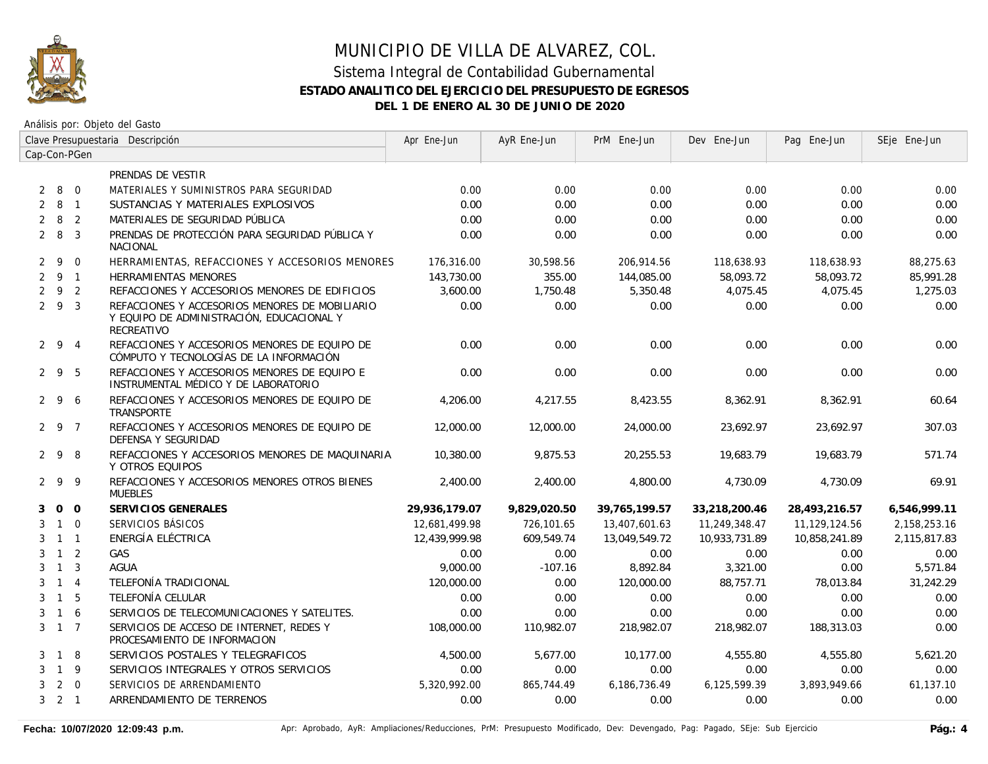

Análisis por: Objeto del Gasto

|                | Clave Presupuestaria Descripción |                |                                                                                                           | Apr Ene-Jun   | AyR Ene-Jun  | PrM Ene-Jun   | Dev Ene-Jun   | Pag Ene-Jun   | SEje Ene-Jun |
|----------------|----------------------------------|----------------|-----------------------------------------------------------------------------------------------------------|---------------|--------------|---------------|---------------|---------------|--------------|
| Cap-Con-PGen   |                                  |                |                                                                                                           |               |              |               |               |               |              |
|                |                                  |                | PRENDAS DE VESTIR                                                                                         |               |              |               |               |               |              |
| $\overline{2}$ | 8 0                              |                | MATERIALES Y SUMINISTROS PARA SEGURIDAD                                                                   | 0.00          | 0.00         | 0.00          | 0.00          | 0.00          | 0.00         |
| $\overline{2}$ | 8                                | $\overline{1}$ | SUSTANCIAS Y MATERIALES EXPLOSIVOS                                                                        | 0.00          | 0.00         | 0.00          | 0.00          | 0.00          | 0.00         |
| $\overline{2}$ | 8 <sup>2</sup>                   |                | MATERIALES DE SEGURIDAD PÚBLICA                                                                           | 0.00          | 0.00         | 0.00          | 0.00          | 0.00          | 0.00         |
| $2 \quad 8$    |                                  | $\overline{3}$ | PRENDAS DE PROTECCIÓN PARA SEGURIDAD PÚBLICA Y<br><b>NACIONAL</b>                                         | 0.00          | 0.00         | 0.00          | 0.00          | 0.00          | 0.00         |
|                | $2 \overline{9}$                 | $\Omega$       | HERRAMIENTAS, REFACCIONES Y ACCESORIOS MENORES                                                            | 176,316.00    | 30,598.56    | 206,914.56    | 118,638.93    | 118,638.93    | 88,275.63    |
|                | 291                              |                | <b>HERRAMIENTAS MENORES</b>                                                                               | 143,730.00    | 355.00       | 144,085.00    | 58,093.72     | 58,093.72     | 85,991.28    |
| 2              | 9 2                              |                | REFACCIONES Y ACCESORIOS MENORES DE EDIFICIOS                                                             | 3,600.00      | 1,750.48     | 5,350.48      | 4,075.45      | 4,075.45      | 1,275.03     |
|                | 293                              |                | REFACCIONES Y ACCESORIOS MENORES DE MOBILIARIO<br>Y EQUIPO DE ADMINISTRACIÓN, EDUCACIONAL Y<br>RECREATIVO | 0.00          | 0.00         | 0.00          | 0.00          | 0.00          | 0.00         |
|                | $2\quad 9\quad 4$                |                | REFACCIONES Y ACCESORIOS MENORES DE EQUIPO DE<br>CÓMPUTO Y TECNOLOGÍAS DE LA INFORMACIÓN                  | 0.00          | 0.00         | 0.00          | 0.00          | 0.00          | 0.00         |
|                | $2 \t9 \t5$                      |                | REFACCIONES Y ACCESORIOS MENORES DE EQUIPO E<br>INSTRUMENTAL MÉDICO Y DE LABORATORIO                      | 0.00          | 0.00         | 0.00          | 0.00          | 0.00          | 0.00         |
|                | $2 \quad 9 \quad 6$              |                | REFACCIONES Y ACCESORIOS MENORES DE EQUIPO DE<br><b>TRANSPORTE</b>                                        | 4,206.00      | 4,217.55     | 8,423.55      | 8,362.91      | 8,362.91      | 60.64        |
|                | 2 9 7                            |                | REFACCIONES Y ACCESORIOS MENORES DE EQUIPO DE<br>DEFENSA Y SEGURIDAD                                      | 12,000.00     | 12,000.00    | 24,000.00     | 23,692.97     | 23,692.97     | 307.03       |
|                | 298                              |                | REFACCIONES Y ACCESORIOS MENORES DE MAQUINARIA<br>Y OTROS EQUIPOS                                         | 10,380.00     | 9,875.53     | 20,255.53     | 19,683.79     | 19,683.79     | 571.74       |
|                | 299                              |                | REFACCIONES Y ACCESORIOS MENORES OTROS BIENES<br><b>MUEBLES</b>                                           | 2,400.00      | 2,400.00     | 4,800.00      | 4,730.09      | 4,730.09      | 69.91        |
| 3              | $0\quad 0$                       |                | SERVICIOS GENERALES                                                                                       | 29,936,179.07 | 9,829,020.50 | 39,765,199.57 | 33,218,200.46 | 28,493,216.57 | 6,546,999.11 |
| 3              | $1\quad 0$                       |                | SERVICIOS BÁSICOS                                                                                         | 12,681,499.98 | 726,101.65   | 13,407,601.63 | 11,249,348.47 | 11,129,124.56 | 2,158,253.16 |
| 3              | $1 \quad 1$                      |                | ENERGÍA ELÉCTRICA                                                                                         | 12.439.999.98 | 609.549.74   | 13,049,549.72 | 10,933,731.89 | 10,858,241.89 | 2,115,817.83 |
| 3              | $1\quad 2$                       |                | <b>GAS</b>                                                                                                | 0.00          | 0.00         | 0.00          | 0.00          | 0.00          | 0.00         |
| 3              | $\overline{1}$                   | $\overline{3}$ | <b>AGUA</b>                                                                                               | 9,000.00      | $-107.16$    | 8,892.84      | 3,321.00      | 0.00          | 5,571.84     |
| 3              | $1 \quad 4$                      |                | TELEFONÍA TRADICIONAL                                                                                     | 120,000.00    | 0.00         | 120,000.00    | 88,757.71     | 78,013.84     | 31,242.29    |
| 3              | $1\quad5$                        |                | TELEFONÍA CELULAR                                                                                         | 0.00          | 0.00         | 0.00          | 0.00          | 0.00          | 0.00         |
| 3              | $1\quad6$                        |                | SERVICIOS DE TELECOMUNICACIONES Y SATELITES.                                                              | 0.00          | 0.00         | 0.00          | 0.00          | 0.00          | 0.00         |
|                | $3 \t1 \t7$                      |                | SERVICIOS DE ACCESO DE INTERNET, REDES Y<br>PROCESAMIENTO DE INFORMACION                                  | 108,000.00    | 110,982.07   | 218,982.07    | 218,982.07    | 188,313.03    | 0.00         |
| 3              | 1 8                              |                | SERVICIOS POSTALES Y TELEGRAFICOS                                                                         | 4,500.00      | 5,677.00     | 10,177.00     | 4,555.80      | 4,555.80      | 5,621.20     |
| 3              | $1 \quad 9$                      |                | SERVICIOS INTEGRALES Y OTROS SERVICIOS                                                                    | 0.00          | 0.00         | 0.00          | 0.00          | 0.00          | 0.00         |
| 3              | $\overline{2}$                   | $\overline{0}$ | SERVICIOS DE ARRENDAMIENTO                                                                                | 5,320,992.00  | 865,744.49   | 6,186,736.49  | 6,125,599.39  | 3,893,949.66  | 61,137.10    |
|                | $3 \quad 2 \quad 1$              |                | ARRENDAMIENTO DE TERRENOS                                                                                 | 0.00          | 0.00         | 0.00          | 0.00          | 0.00          | 0.00         |

Fecha: 10/07/2020 12:09:43 p.m. **Aprichationes Aprichationes/Reducciones**, PrM: Presupuesto Modificado, Dev: Devengado, Pag: Pagado, SEje: Sub Ejercicio Pág.: 4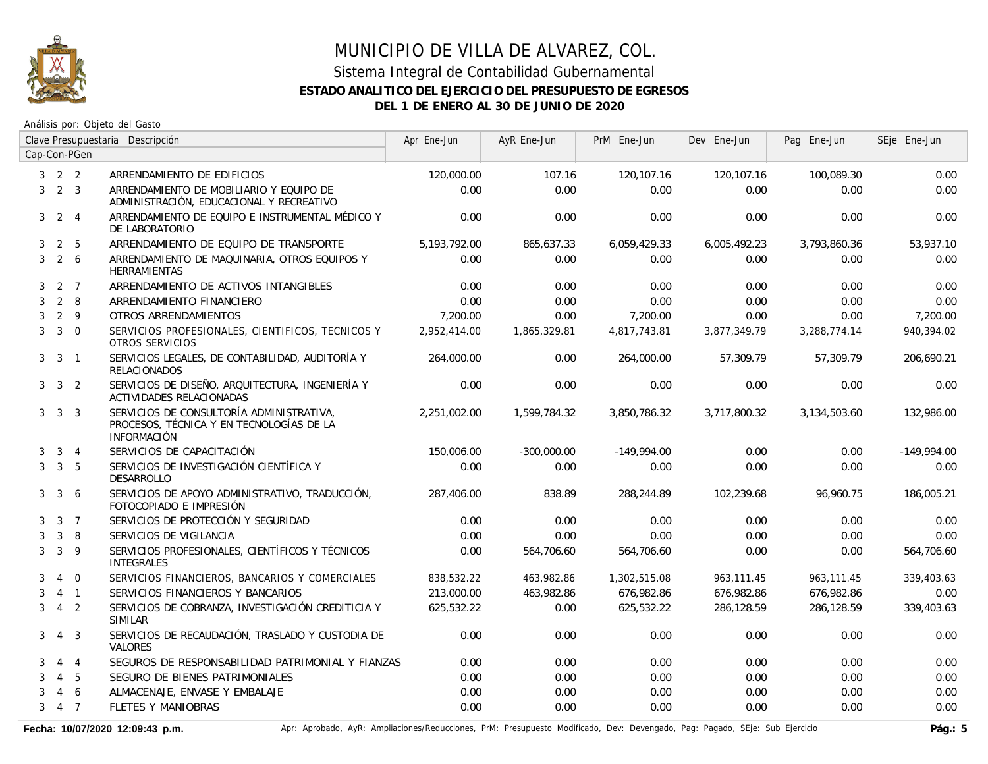

# MUNICIPIO DE VILLA DE ALVAREZ, COL. Sistema Integral de Contabilidad Gubernamental

#### **ESTADO ANALITICO DEL EJERCICIO DEL PRESUPUESTO DE EGRESOS**

**DEL 1 DE ENERO AL 30 DE JUNIO DE 2020**

Análisis por: Objeto del Gasto

|   |                     |                | Clave Presupuestaria Descripción                                                                           | Apr Ene-Jun  | AyR Ene-Jun   | PrM Ene-Jun   | Dev Ene-Jun  | Pag Ene-Jun  | SEje Ene-Jun  |
|---|---------------------|----------------|------------------------------------------------------------------------------------------------------------|--------------|---------------|---------------|--------------|--------------|---------------|
|   |                     | Cap-Con-PGen   |                                                                                                            |              |               |               |              |              |               |
|   | $3 \quad 2 \quad 2$ |                | ARRENDAMIENTO DE EDIFICIOS                                                                                 | 120,000.00   | 107.16        | 120,107.16    | 120,107.16   | 100,089.30   | 0.00          |
| 3 | $2 \quad 3$         |                | ARRENDAMIENTO DE MOBILIARIO Y EQUIPO DE<br>ADMINISTRACIÓN, EDUCACIONAL Y RECREATIVO                        | 0.00         | 0.00          | 0.00          | 0.00         | 0.00         | 0.00          |
| 3 |                     | 2 <sub>4</sub> | ARRENDAMIENTO DE EQUIPO E INSTRUMENTAL MÉDICO Y<br>DE LABORATORIO                                          | 0.00         | 0.00          | 0.00          | 0.00         | 0.00         | 0.00          |
| 3 | 2                   | -5             | ARRENDAMIENTO DE EQUIPO DE TRANSPORTE                                                                      | 5,193,792.00 | 865,637.33    | 6,059,429.33  | 6,005,492.23 | 3,793,860.36 | 53,937.10     |
| 3 | $2\quad 6$          |                | ARRENDAMIENTO DE MAQUINARIA, OTROS EQUIPOS Y<br><b>HERRAMIENTAS</b>                                        | 0.00         | 0.00          | 0.00          | 0.00         | 0.00         | 0.00          |
| 3 | 2 7                 |                | ARRENDAMIENTO DE ACTIVOS INTANGIBLES                                                                       | 0.00         | 0.00          | 0.00          | 0.00         | 0.00         | 0.00          |
| 3 | 2                   | 8              | ARRENDAMIENTO FINANCIERO                                                                                   | 0.00         | 0.00          | 0.00          | 0.00         | 0.00         | 0.00          |
| 3 | $2 \quad 9$         |                | OTROS ARRENDAMIENTOS                                                                                       | 7,200.00     | 0.00          | 7,200.00      | 0.00         | 0.00         | 7,200.00      |
| 3 | $3 \quad 0$         |                | SERVICIOS PROFESIONALES, CIENTIFICOS, TECNICOS Y<br>OTROS SERVICIOS                                        | 2,952,414.00 | 1,865,329.81  | 4,817,743.81  | 3,877,349.79 | 3,288,774.14 | 940,394.02    |
| 3 | $\mathbf{3}$        | $\overline{1}$ | SERVICIOS LEGALES, DE CONTABILIDAD, AUDITORÍA Y<br><b>RELACIONADOS</b>                                     | 264,000.00   | 0.00          | 264,000.00    | 57,309.79    | 57,309.79    | 206,690.21    |
|   | $3 \quad 3 \quad 2$ |                | SERVICIOS DE DISEÑO, ARQUITECTURA, INGENIERÍA Y<br>ACTIVIDADES RELACIONADAS                                | 0.00         | 0.00          | 0.00          | 0.00         | 0.00         | 0.00          |
|   | $3 \quad 3 \quad 3$ |                | SERVICIOS DE CONSULTORÍA ADMINISTRATIVA,<br>PROCESOS, TÉCNICA Y EN TECNOLOGÍAS DE LA<br><b>INFORMACIÓN</b> | 2.251.002.00 | 1,599,784.32  | 3,850,786.32  | 3,717,800.32 | 3.134.503.60 | 132,986.00    |
| 3 |                     | $3 \quad 4$    | SERVICIOS DE CAPACITACIÓN                                                                                  | 150,006.00   | $-300,000.00$ | $-149,994.00$ | 0.00         | 0.00         | $-149,994.00$ |
| 3 | 3 <sub>5</sub>      |                | SERVICIOS DE INVESTIGACIÓN CIENTÍFICA Y<br><b>DESARROLLO</b>                                               | 0.00         | 0.00          | 0.00          | 0.00         | 0.00         | 0.00          |
| 3 | $\mathbf{3}$        | -6             | SERVICIOS DE APOYO ADMINISTRATIVO, TRADUCCIÓN,<br>FOTOCOPIADO E IMPRESIÓN                                  | 287,406.00   | 838.89        | 288,244.89    | 102,239.68   | 96,960.75    | 186,005.21    |
| 3 |                     | 3 <sub>7</sub> | SERVICIOS DE PROTECCIÓN Y SEGURIDAD                                                                        | 0.00         | 0.00          | 0.00          | 0.00         | 0.00         | 0.00          |
| 3 | 3                   | 8              | SERVICIOS DE VIGILANCIA                                                                                    | 0.00         | 0.00          | 0.00          | 0.00         | 0.00         | 0.00          |
| 3 | 3                   | 9              | SERVICIOS PROFESIONALES, CIENTÍFICOS Y TÉCNICOS<br><b>INTEGRALES</b>                                       | 0.00         | 564,706.60    | 564,706.60    | 0.00         | 0.00         | 564,706.60    |
| 3 | $\overline{4}$      | $\overline{0}$ | SERVICIOS FINANCIEROS, BANCARIOS Y COMERCIALES                                                             | 838,532.22   | 463,982.86    | 1,302,515.08  | 963,111.45   | 963,111.45   | 339,403.63    |
| 3 |                     | $4 \quad 1$    | SERVICIOS FINANCIEROS Y BANCARIOS                                                                          | 213,000.00   | 463,982.86    | 676,982.86    | 676,982.86   | 676,982.86   | 0.00          |
| 3 | 4 <sub>2</sub>      |                | SERVICIOS DE COBRANZA, INVESTIGACIÓN CREDITICIA Y<br><b>SIMILAR</b>                                        | 625,532.22   | 0.00          | 625,532.22    | 286.128.59   | 286.128.59   | 339,403.63    |
| 3 | $\overline{4}$      | $\overline{3}$ | SERVICIOS DE RECAUDACIÓN, TRASLADO Y CUSTODIA DE<br>VALORES                                                | 0.00         | 0.00          | 0.00          | 0.00         | 0.00         | 0.00          |
| 3 | $\overline{4}$      | $\overline{4}$ | SEGUROS DE RESPONSABILIDAD PATRIMONIAL Y FIANZAS                                                           | 0.00         | 0.00          | 0.00          | 0.00         | 0.00         | 0.00          |
| 3 | $\overline{4}$      | - 5            | SEGURO DE BIENES PATRIMONIALES                                                                             | 0.00         | 0.00          | 0.00          | 0.00         | 0.00         | 0.00          |
| 3 | $\overline{4}$      | 6              | ALMACENAJE, ENVASE Y EMBALAJE                                                                              | 0.00         | 0.00          | 0.00          | 0.00         | 0.00         | 0.00          |
| 3 | 4 7                 |                | <b>FLETES Y MANIOBRAS</b>                                                                                  | 0.00         | 0.00          | 0.00          | 0.00         | 0.00         | 0.00          |

Fecha: 10/07/2020 12:09:43 p.m. **Aprichationes/Aprichationes/Reducciones, PrM: Presupuesto Modificado, Dev: Devengado, Pag: Pagado, SEje: Sub Ejercicio Pág.: 5**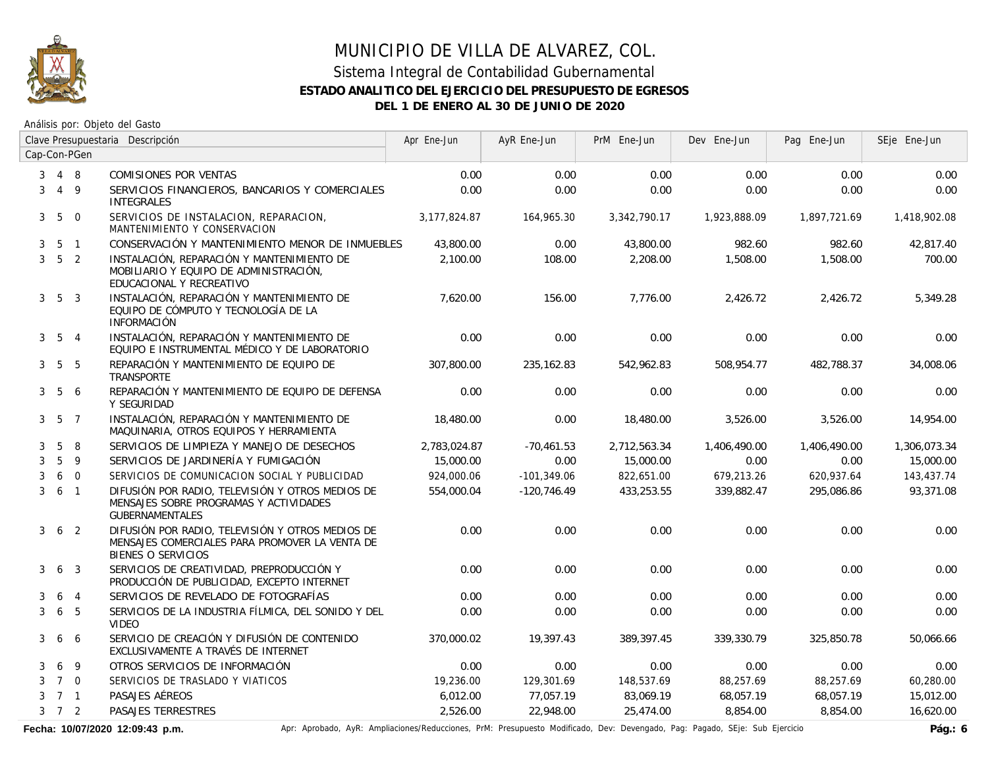

#### Sistema Integral de Contabilidad Gubernamental **ESTADO ANALITICO DEL EJERCICIO DEL PRESUPUESTO DE EGRESOS DEL 1 DE ENERO AL 30 DE JUNIO DE 2020**

Análisis por: Objeto del Gasto

|                | Clave Presupuestaria Descripción |                 |                                                                                                                          | Apr Ene-Jun  | AyR Ene-Jun   | PrM Ene-Jun  | Dev Ene-Jun  | Pag Ene-Jun  | SEje Ene-Jun |
|----------------|----------------------------------|-----------------|--------------------------------------------------------------------------------------------------------------------------|--------------|---------------|--------------|--------------|--------------|--------------|
|                |                                  | Cap-Con-PGen    |                                                                                                                          |              |               |              |              |              |              |
| 3              | 4 8                              |                 | COMISIONES POR VENTAS                                                                                                    | 0.00         | 0.00          | 0.00         | 0.00         | 0.00         | 0.00         |
| 3              |                                  | $4\overline{9}$ | SERVICIOS FINANCIEROS, BANCARIOS Y COMERCIALES<br><b>INTEGRALES</b>                                                      | 0.00         | 0.00          | 0.00         | 0.00         | 0.00         | 0.00         |
| 3 <sup>7</sup> | $5\overline{)}$                  | $\overline{0}$  | SERVICIOS DE INSTALACION, REPARACION,<br>MANTENIMIENTO Y CONSERVACION                                                    | 3,177,824.87 | 164,965.30    | 3,342,790.17 | 1,923,888.09 | 1,897,721.69 | 1,418,902.08 |
| 3              |                                  | 5 1             | CONSERVACIÓN Y MANTENIMIENTO MENOR DE INMUEBLES                                                                          | 43,800.00    | 0.00          | 43,800.00    | 982.60       | 982.60       | 42,817.40    |
| 3              | 5 <sub>2</sub>                   |                 | INSTALACIÓN, REPARACIÓN Y MANTENIMIENTO DE<br>MOBILIARIO Y EQUIPO DE ADMINISTRACIÓN,<br>EDUCACIONAL Y RECREATIVO         | 2,100.00     | 108.00        | 2,208.00     | 1,508.00     | 1,508.00     | 700.00       |
|                | $3\quad 5\quad 3$                |                 | INSTALACIÓN, REPARACIÓN Y MANTENIMIENTO DE<br>EQUIPO DE CÓMPUTO Y TECNOLOGÍA DE LA<br><b>INFORMACIÓN</b>                 | 7,620.00     | 156.00        | 7,776.00     | 2,426.72     | 2,426.72     | 5,349.28     |
|                | $3\quad 5\quad 4$                |                 | INSTALACIÓN, REPARACIÓN Y MANTENIMIENTO DE<br>EQUIPO E INSTRUMENTAL MÉDICO Y DE LABORATORIO                              | 0.00         | 0.00          | 0.00         | 0.00         | 0.00         | 0.00         |
|                | $3\quad 5\quad 5$                |                 | REPARACIÓN Y MANTENIMIENTO DE EQUIPO DE<br>TRANSPORTE                                                                    | 307.800.00   | 235, 162.83   | 542,962.83   | 508.954.77   | 482.788.37   | 34,008.06    |
| 3              | 5                                | 6               | REPARACIÓN Y MANTENIMIENTO DE EQUIPO DE DEFENSA<br>Y SEGURIDAD                                                           | 0.00         | 0.00          | 0.00         | 0.00         | 0.00         | 0.00         |
|                | $3\quad 5\quad 7$                |                 | INSTALACIÓN, REPARACIÓN Y MANTENIMIENTO DE<br>MAQUINARIA, OTROS EQUIPOS Y HERRAMIENTA                                    | 18,480.00    | 0.00          | 18,480.00    | 3,526.00     | 3,526.00     | 14,954.00    |
| 3              | 5                                | 8               | SERVICIOS DE LIMPIEZA Y MANEJO DE DESECHOS                                                                               | 2,783,024.87 | $-70,461.53$  | 2,712,563.34 | 1,406,490.00 | 1,406,490.00 | 1,306,073.34 |
| 3              | 5                                | 9               | SERVICIOS DE JARDINERÍA Y FUMIGACIÓN                                                                                     | 15,000.00    | 0.00          | 15,000.00    | 0.00         | 0.00         | 15,000.00    |
| 3              | 6                                | $\overline{0}$  | SERVICIOS DE COMUNICACION SOCIAL Y PUBLICIDAD                                                                            | 924,000.06   | $-101,349.06$ | 822,651.00   | 679,213.26   | 620,937.64   | 143,437.74   |
| 3              | 6 <sub>1</sub>                   |                 | DIFUSIÓN POR RADIO, TELEVISIÓN Y OTROS MEDIOS DE<br>MENSAJES SOBRE PROGRAMAS Y ACTIVIDADES<br><b>GUBERNAMENTALES</b>     | 554,000.04   | $-120,746.49$ | 433,253.55   | 339,882.47   | 295,086.86   | 93,371.08    |
| $\mathbf{3}$   |                                  | 6 <sub>2</sub>  | DIFUSIÓN POR RADIO. TELEVISIÓN Y OTROS MEDIOS DE<br>MENSAJES COMERCIALES PARA PROMOVER LA VENTA DE<br>BIENES O SERVICIOS | 0.00         | 0.00          | 0.00         | 0.00         | 0.00         | 0.00         |
| 3              |                                  | 6 <sub>3</sub>  | SERVICIOS DE CREATIVIDAD, PREPRODUCCIÓN Y<br>PRODUCCIÓN DE PUBLICIDAD, EXCEPTO INTERNET                                  | 0.00         | 0.00          | 0.00         | 0.00         | 0.00         | 0.00         |
| 3              | 6                                | $\overline{4}$  | SERVICIOS DE REVELADO DE FOTOGRAFÍAS                                                                                     | 0.00         | 0.00          | 0.00         | 0.00         | 0.00         | 0.00         |
| 3              | 6                                | 5               | SERVICIOS DE LA INDUSTRIA FÍLMICA, DEL SONIDO Y DEL<br><b>VIDEO</b>                                                      | 0.00         | 0.00          | 0.00         | 0.00         | 0.00         | 0.00         |
| 3              | 6                                | 6               | SERVICIO DE CREACIÓN Y DIFUSIÓN DE CONTENIDO<br>EXCLUSIVAMENTE A TRAVÉS DE INTERNET                                      | 370,000.02   | 19,397.43     | 389,397.45   | 339,330.79   | 325,850.78   | 50,066.66    |
| 3              | 6                                | 9               | OTROS SERVICIOS DE INFORMACIÓN                                                                                           | 0.00         | 0.00          | 0.00         | 0.00         | 0.00         | 0.00         |
| 3              | 7 0                              |                 | SERVICIOS DE TRASLADO Y VIATICOS                                                                                         | 19,236.00    | 129,301.69    | 148,537.69   | 88,257.69    | 88,257.69    | 60,280.00    |
| 3              | 7 1                              |                 | PASAJES AÉREOS                                                                                                           | 6,012.00     | 77,057.19     | 83,069.19    | 68,057.19    | 68,057.19    | 15,012.00    |
|                | $3 \quad 7 \quad 2$              |                 | PASAJES TERRESTRES                                                                                                       | 2,526.00     | 22,948.00     | 25,474.00    | 8,854.00     | 8,854.00     | 16,620.00    |

Fecha: 10/07/2020 12:09:43 p.m. **Anche Aprinal Apring Aprime Aprime Apric** Ampliaciones/Reducciones, PrM: Presupuesto Modificado, Dev: Devengado, Pag: Pagado, SEje: Sub Ejercicio Pág.: 6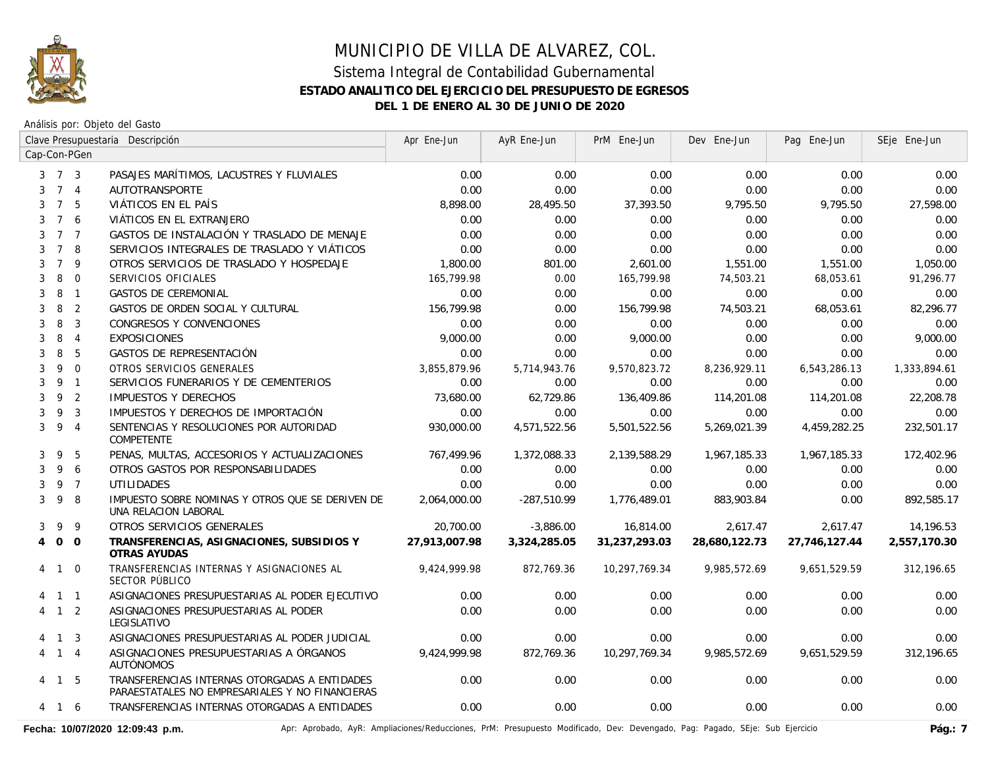

Análisis por: Objeto del Gasto

|                |                     |                | Clave Presupuestaria Descripción                                                                 | Apr Ene-Jun   | AyR Ene-Jun   | PrM Ene-Jun   | Dev Ene-Jun   | Pag Ene-Jun   | SEje Ene-Jun |
|----------------|---------------------|----------------|--------------------------------------------------------------------------------------------------|---------------|---------------|---------------|---------------|---------------|--------------|
|                |                     | Cap-Con-PGen   |                                                                                                  |               |               |               |               |               |              |
|                | $3 \quad 7 \quad 3$ |                | PASAJES MARÍTIMOS, LACUSTRES Y FLUVIALES                                                         | 0.00          | 0.00          | 0.00          | 0.00          | 0.00          | 0.00         |
|                | 7 4                 |                | <b>AUTOTRANSPORTE</b>                                                                            | 0.00          | 0.00          | 0.00          | 0.00          | 0.00          | 0.00         |
| 3              | $7^{\circ}$         | - 5            | VIÁTICOS EN EL PAÍS                                                                              | 8,898.00      | 28,495.50     | 37,393.50     | 9,795.50      | 9,795.50      | 27,598.00    |
| 3              | $7^{\circ}$         | 6              | VIÁTICOS EN EL EXTRANJERO                                                                        | 0.00          | 0.00          | 0.00          | 0.00          | 0.00          | 0.00         |
| 3              | $7^{\circ}$         | $\overline{7}$ | GASTOS DE INSTALACIÓN Y TRASLADO DE MENAJE                                                       | 0.00          | 0.00          | 0.00          | 0.00          | 0.00          | 0.00         |
| 3              | $7^{\circ}$         | -8             | SERVICIOS INTEGRALES DE TRASLADO Y VIÁTICOS                                                      | 0.00          | 0.00          | 0.00          | 0.00          | 0.00          | 0.00         |
| 3              | $\overline{7}$      | 9              | OTROS SERVICIOS DE TRASLADO Y HOSPEDAJE                                                          | 1,800.00      | 801.00        | 2,601.00      | 1,551.00      | 1,551.00      | 1,050.00     |
| 3              | 8                   | $\mathbf{0}$   | SERVICIOS OFICIALES                                                                              | 165,799.98    | 0.00          | 165,799.98    | 74,503.21     | 68,053.61     | 91,296.77    |
| 3              | 8                   | $\overline{1}$ | <b>GASTOS DE CEREMONIAL</b>                                                                      | 0.00          | 0.00          | 0.00          | 0.00          | 0.00          | 0.00         |
| 3              | 8                   | $\overline{2}$ | GASTOS DE ORDEN SOCIAL Y CULTURAL                                                                | 156,799.98    | 0.00          | 156,799.98    | 74,503.21     | 68,053.61     | 82,296.77    |
| 3              | 8                   | $\overline{3}$ | CONGRESOS Y CONVENCIONES                                                                         | 0.00          | 0.00          | 0.00          | 0.00          | 0.00          | 0.00         |
| 3              | 8                   | $\overline{4}$ | <b>EXPOSICIONES</b>                                                                              | 9,000.00      | 0.00          | 9,000.00      | 0.00          | 0.00          | 9,000.00     |
| 3              | 8                   | 5              | GASTOS DE REPRESENTACIÓN                                                                         | 0.00          | 0.00          | 0.00          | 0.00          | 0.00          | 0.00         |
| 3              | 9                   | $\overline{0}$ | OTROS SERVICIOS GENERALES                                                                        | 3,855,879.96  | 5,714,943.76  | 9,570,823.72  | 8,236,929.11  | 6,543,286.13  | 1,333,894.61 |
| 3              | 9 1                 |                | SERVICIOS FUNERARIOS Y DE CEMENTERIOS                                                            | 0.00          | 0.00          | 0.00          | 0.00          | 0.00          | 0.00         |
| 3              | 9                   | $\overline{2}$ | <b>IMPUESTOS Y DERECHOS</b>                                                                      | 73,680.00     | 62,729.86     | 136,409.86    | 114,201.08    | 114,201.08    | 22,208.78    |
| 3              | 9                   | $\overline{3}$ | IMPUESTOS Y DERECHOS DE IMPORTACIÓN                                                              | 0.00          | 0.00          | 0.00          | 0.00          | 0.00          | 0.00         |
| 3              | 9                   | $\overline{4}$ | SENTENCIAS Y RESOLUCIONES POR AUTORIDAD<br>COMPETENTE                                            | 930,000.00    | 4,571,522.56  | 5,501,522.56  | 5,269,021.39  | 4,459,282.25  | 232,501.17   |
| 3              | 9                   | 5              | PENAS, MULTAS, ACCESORIOS Y ACTUALIZACIONES                                                      | 767,499.96    | 1,372,088.33  | 2,139,588.29  | 1,967,185.33  | 1,967,185.33  | 172,402.96   |
| 3              | 9                   | -6             | OTROS GASTOS POR RESPONSABILIDADES                                                               | 0.00          | 0.00          | 0.00          | 0.00          | 0.00          | 0.00         |
| 3              |                     | 9 7            | <b>UTILIDADES</b>                                                                                | 0.00          | 0.00          | 0.00          | 0.00          | 0.00          | 0.00         |
| 3              | 9                   | -8             | IMPUESTO SOBRE NOMINAS Y OTROS QUE SE DERIVEN DE<br>UNA RELACION LABORAL                         | 2,064,000.00  | $-287,510.99$ | 1,776,489.01  | 883,903.84    | 0.00          | 892,585.17   |
| 3              | 9                   | 9              | OTROS SERVICIOS GENERALES                                                                        | 20,700.00     | $-3,886.00$   | 16,814.00     | 2,617.47      | 2,617.47      | 14,196.53    |
| $\overline{4}$ | $0\quad 0$          |                | TRANSFERENCIAS, ASIGNACIONES, SUBSIDIOS Y<br>OTRAS AYUDAS                                        | 27,913,007.98 | 3,324,285.05  | 31,237,293.03 | 28,680,122.73 | 27,746,127.44 | 2,557,170.30 |
|                | 4 1                 | $\Omega$       | TRANSFERENCIAS INTERNAS Y ASIGNACIONES AL<br>SECTOR PÚBLICO                                      | 9,424,999.98  | 872,769.36    | 10,297,769.34 | 9,985,572.69  | 9,651,529.59  | 312,196.65   |
|                | $1 \quad 1$         |                | ASIGNACIONES PRESUPUESTARIAS AL PODER EJECUTIVO                                                  | 0.00          | 0.00          | 0.00          | 0.00          | 0.00          | 0.00         |
|                | $1\quad 2$          |                | ASIGNACIONES PRESUPUESTARIAS AL PODER<br>LEGISLATIVO                                             | 0.00          | 0.00          | 0.00          | 0.00          | 0.00          | 0.00         |
|                | 4 1 3               |                | ASIGNACIONES PRESUPUESTARIAS AL PODER JUDICIAL                                                   | 0.00          | 0.00          | 0.00          | 0.00          | 0.00          | 0.00         |
| 4              | $1 \quad 4$         |                | ASIGNACIONES PRESUPUESTARIAS A ÓRGANOS<br><b>AUTÓNOMOS</b>                                       | 9,424,999.98  | 872,769.36    | 10,297,769.34 | 9,985,572.69  | 9,651,529.59  | 312,196.65   |
|                | 4 1 5               |                | TRANSFERENCIAS INTERNAS OTORGADAS A ENTIDADES<br>PARAESTATALES NO EMPRESARIALES Y NO FINANCIERAS | 0.00          | 0.00          | 0.00          | 0.00          | 0.00          | 0.00         |
|                | 4 1 6               |                | TRANSFERENCIAS INTERNAS OTORGADAS A ENTIDADES                                                    | 0.00          | 0.00          | 0.00          | 0.00          | 0.00          | 0.00         |

Fecha: 10/07/2020 12:09:43 p.m. **Aprichago AyR: Ampliaciones/Reducciones**, PrM: Presupuesto Modificado, Dev: Devengado, Pag: Pagado, SEje: Sub Ejercicio Pág.: 7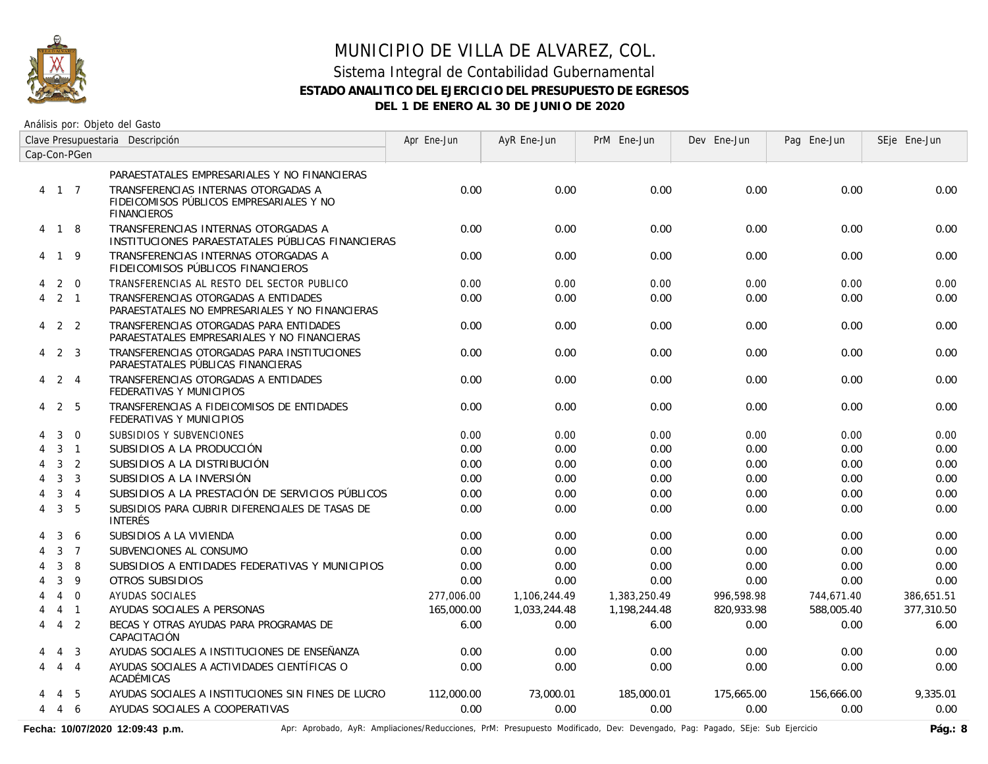

# MUNICIPIO DE VILLA DE ALVAREZ, COL. Sistema Integral de Contabilidad Gubernamental

# **ESTADO ANALITICO DEL EJERCICIO DEL PRESUPUESTO DE EGRESOS**

**DEL 1 DE ENERO AL 30 DE JUNIO DE 2020**

Análisis por: Objeto del Gasto

|                             | Clave Presupuestaria Descripción |                | Apr Ene-Jun                                                                                           | AyR Ene-Jun | PrM Ene-Jun  | Dev Ene-Jun  | Pag Ene-Jun | SEje Ene-Jun |            |
|-----------------------------|----------------------------------|----------------|-------------------------------------------------------------------------------------------------------|-------------|--------------|--------------|-------------|--------------|------------|
|                             |                                  | Cap-Con-PGen   |                                                                                                       |             |              |              |             |              |            |
|                             |                                  |                | PARAESTATALES EMPRESARIALES Y NO FINANCIERAS                                                          |             |              |              |             |              |            |
|                             | 4 1 7                            |                | TRANSFERENCIAS INTERNAS OTORGADAS A<br>FIDEICOMISOS PÚBLICOS EMPRESARIALES Y NO<br><b>FINANCIEROS</b> | 0.00        | 0.00         | 0.00         | 0.00        | 0.00         | 0.00       |
|                             | 4 1 8                            |                | TRANSFERENCIAS INTERNAS OTORGADAS A<br>INSTITUCIONES PARAESTATALES PÚBLICAS FINANCIERAS               | 0.00        | 0.00         | 0.00         | 0.00        | 0.00         | 0.00       |
|                             | 4 1 9                            |                | TRANSFERENCIAS INTERNAS OTORGADAS A<br>FIDEICOMISOS PÚBLICOS FINANCIEROS                              | 0.00        | 0.00         | 0.00         | 0.00        | 0.00         | 0.00       |
| 4                           |                                  | $2 \quad 0$    | TRANSFERENCIAS AL RESTO DEL SECTOR PUBLICO                                                            | 0.00        | 0.00         | 0.00         | 0.00        | 0.00         | 0.00       |
| 4                           |                                  | $2 \quad 1$    | TRANSFERENCIAS OTORGADAS A ENTIDADES<br>PARAESTATALES NO EMPRESARIALES Y NO FINANCIERAS               | 0.00        | 0.00         | 0.00         | 0.00        | 0.00         | 0.00       |
|                             | $4\quad 2\quad 2$                |                | TRANSFERENCIAS OTORGADAS PARA ENTIDADES<br>PARAESTATALES EMPRESARIALES Y NO FINANCIERAS               | 0.00        | 0.00         | 0.00         | 0.00        | 0.00         | 0.00       |
| 4                           |                                  | 2 3            | TRANSFERENCIAS OTORGADAS PARA INSTITUCIONES<br>PARAESTATALES PÚBLICAS FINANCIERAS                     | 0.00        | 0.00         | 0.00         | 0.00        | 0.00         | 0.00       |
|                             | 4 2 4                            |                | TRANSFERENCIAS OTORGADAS A ENTIDADES<br>FEDERATIVAS Y MUNICIPIOS                                      | 0.00        | 0.00         | 0.00         | 0.00        | 0.00         | 0.00       |
| 4                           |                                  | 2 5            | TRANSFERENCIAS A FIDEICOMISOS DE ENTIDADES<br>FEDERATIVAS Y MUNICIPIOS                                | 0.00        | 0.00         | 0.00         | 0.00        | 0.00         | 0.00       |
| 4                           | 3                                | $\mathbf 0$    | SUBSIDIOS Y SUBVENCIONES                                                                              | 0.00        | 0.00         | 0.00         | 0.00        | 0.00         | 0.00       |
| $\boldsymbol{\vartriangle}$ | 3                                | $\overline{1}$ | SUBSIDIOS A LA PRODUCCIÓN                                                                             | 0.00        | 0.00         | 0.00         | 0.00        | 0.00         | 0.00       |
| 4                           | 3                                | 2              | SUBSIDIOS A LA DISTRIBUCIÓN                                                                           | 0.00        | 0.00         | 0.00         | 0.00        | 0.00         | 0.00       |
| 4                           | 3                                | $\overline{3}$ | SUBSIDIOS A LA INVERSIÓN                                                                              | 0.00        | 0.00         | 0.00         | 0.00        | 0.00         | 0.00       |
| 4                           | 3                                | $\overline{4}$ | SUBSIDIOS A LA PRESTACIÓN DE SERVICIOS PÚBLICOS                                                       | 0.00        | 0.00         | 0.00         | 0.00        | 0.00         | 0.00       |
| 4                           | 3                                | 5              | SUBSIDIOS PARA CUBRIR DIFERENCIALES DE TASAS DE<br><b>INTERÉS</b>                                     | 0.00        | 0.00         | 0.00         | 0.00        | 0.00         | 0.00       |
|                             | 3                                | 6              | SUBSIDIOS A LA VIVIENDA                                                                               | 0.00        | 0.00         | 0.00         | 0.00        | 0.00         | 0.00       |
|                             | $\mathbf{3}$                     | $\overline{7}$ | SUBVENCIONES AL CONSUMO                                                                               | 0.00        | 0.00         | 0.00         | 0.00        | 0.00         | 0.00       |
| 4                           | 3                                | 8              | SUBSIDIOS A ENTIDADES FEDERATIVAS Y MUNICIPIOS                                                        | 0.00        | 0.00         | 0.00         | 0.00        | 0.00         | 0.00       |
| 4                           | 3                                | 9              | OTROS SUBSIDIOS                                                                                       | 0.00        | 0.00         | 0.00         | 0.00        | 0.00         | 0.00       |
|                             | $\overline{4}$                   | $\Omega$       | AYUDAS SOCIALES                                                                                       | 277,006.00  | 1,106,244.49 | 1,383,250.49 | 996,598.98  | 744,671.40   | 386,651.51 |
|                             |                                  | $4 \quad 1$    | AYUDAS SOCIALES A PERSONAS                                                                            | 165,000.00  | 1,033,244.48 | 1,198,244.48 | 820,933.98  | 588,005.40   | 377,310.50 |
| 4                           | $\overline{4}$                   | 2              | BECAS Y OTRAS AYUDAS PARA PROGRAMAS DE<br>CAPACITACIÓN                                                | 6.00        | 0.00         | 6.00         | 0.00        | 0.00         | 6.00       |
| 4                           | 4                                | 3              | AYUDAS SOCIALES A INSTITUCIONES DE ENSEÑANZA                                                          | 0.00        | 0.00         | 0.00         | 0.00        | 0.00         | 0.00       |
| 4                           |                                  | $4 \quad 4$    | AYUDAS SOCIALES A ACTIVIDADES CIENTÍFICAS O<br>ACADÉMICAS                                             | 0.00        | 0.00         | 0.00         | 0.00        | 0.00         | 0.00       |
|                             | 4                                | - 5            | AYUDAS SOCIALES A INSTITUCIONES SIN FINES DE LUCRO                                                    | 112,000.00  | 73,000.01    | 185,000.01   | 175,665.00  | 156,666.00   | 9.335.01   |
| 4                           |                                  | 4 6            | AYUDAS SOCIALES A COOPERATIVAS                                                                        | 0.00        | 0.00         | 0.00         | 0.00        | 0.00         | 0.00       |

Fecha: 10/07/2020 12:09:43 p.m. **Aprichationes/Aprichationes/Reducciones, PrM: Presupuesto Modificado, Dev: Devengado, Pag: Pagado, SEje: Sub Ejercicio Pág.: 8**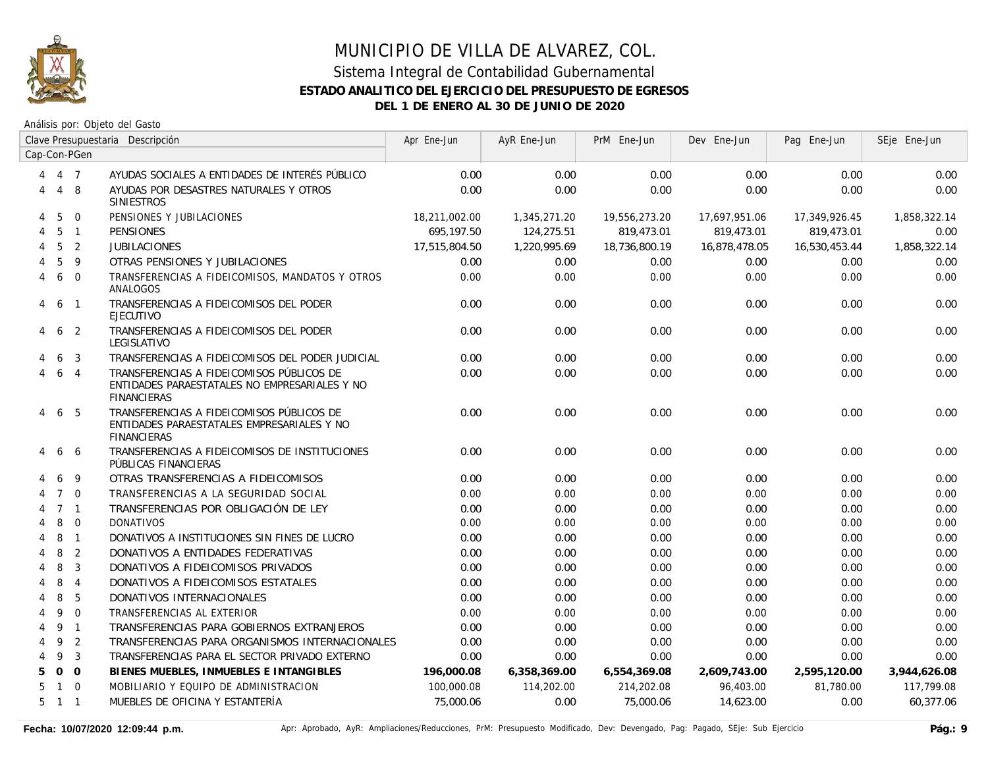

|                | Clave Presupuestaria Descripción |                |                                                                                                                  | Apr Ene-Jun   | AyR Ene-Jun  | PrM Ene-Jun   | Dev Ene-Jun   | Pag Ene-Jun   | SEje Ene-Jun |
|----------------|----------------------------------|----------------|------------------------------------------------------------------------------------------------------------------|---------------|--------------|---------------|---------------|---------------|--------------|
|                |                                  | Cap-Con-PGen   |                                                                                                                  |               |              |               |               |               |              |
| $\overline{4}$ | 4 7                              |                | AYUDAS SOCIALES A ENTIDADES DE INTERÉS PÚBLICO                                                                   | 0.00          | 0.00         | 0.00          | 0.00          | 0.00          | 0.00         |
| 4              |                                  | $4 \quad 8$    | AYUDAS POR DESASTRES NATURALES Y OTROS<br><b>SINIESTROS</b>                                                      | 0.00          | 0.00         | 0.00          | 0.00          | 0.00          | 0.00         |
| 4              | 5                                | $\mathbf{0}$   | PENSIONES Y JUBILACIONES                                                                                         | 18,211,002.00 | 1,345,271.20 | 19,556,273.20 | 17,697,951.06 | 17,349,926.45 | 1,858,322.14 |
| 4              | 5                                | $\overline{1}$ | <b>PENSIONES</b>                                                                                                 | 695.197.50    | 124,275.51   | 819,473.01    | 819,473.01    | 819,473.01    | 0.00         |
|                | 5                                | $\overline{2}$ | <b>JUBILACIONES</b>                                                                                              | 17,515,804.50 | 1,220,995.69 | 18,736,800.19 | 16,878,478.05 | 16,530,453.44 | 1,858,322.14 |
|                | 5                                | 9              | OTRAS PENSIONES Y JUBILACIONES                                                                                   | 0.00          | 0.00         | 0.00          | 0.00          | 0.00          | 0.00         |
| 4              | 6                                | $\Omega$       | TRANSFERENCIAS A FIDEICOMISOS, MANDATOS Y OTROS<br>ANALOGOS                                                      | 0.00          | 0.00         | 0.00          | 0.00          | 0.00          | 0.00         |
| 4              | 6                                | $\overline{1}$ | TRANSFERENCIAS A FIDEICOMISOS DEL PODER<br><b>EJECUTIVO</b>                                                      | 0.00          | 0.00         | 0.00          | 0.00          | 0.00          | 0.00         |
| 4              | 6                                | $\overline{2}$ | TRANSFERENCIAS A FIDEICOMISOS DEL PODER<br>LEGISLATIVO                                                           | 0.00          | 0.00         | 0.00          | 0.00          | 0.00          | 0.00         |
|                | 6                                | 3              | TRANSFERENCIAS A FIDEICOMISOS DEL PODER JUDICIAL                                                                 | 0.00          | 0.00         | 0.00          | 0.00          | 0.00          | 0.00         |
| 4              | 6                                | $\overline{4}$ | TRANSFERENCIAS A FIDEICOMISOS PÚBLICOS DE<br>ENTIDADES PARAESTATALES NO EMPRESARIALES Y NO<br><b>FINANCIERAS</b> | 0.00          | 0.00         | 0.00          | 0.00          | 0.00          | 0.00         |
| 4              | 6                                | - 5            | TRANSFERENCIAS A FIDEICOMISOS PÚBLICOS DE<br>ENTIDADES PARAESTATALES EMPRESARIALES Y NO<br><b>FINANCIERAS</b>    | 0.00          | 0.00         | 0.00          | 0.00          | 0.00          | 0.00         |
|                | 6                                | 6              | TRANSFERENCIAS A FIDEICOMISOS DE INSTITUCIONES<br>PÚBLICAS FINANCIERAS                                           | 0.00          | 0.00         | 0.00          | 0.00          | 0.00          | 0.00         |
|                | 6                                | 9              | OTRAS TRANSFERENCIAS A FIDEICOMISOS                                                                              | 0.00          | 0.00         | 0.00          | 0.00          | 0.00          | 0.00         |
|                | $7^{\circ}$                      | $\Omega$       | TRANSFERENCIAS A LA SEGURIDAD SOCIAL                                                                             | 0.00          | 0.00         | 0.00          | 0.00          | 0.00          | 0.00         |
|                |                                  | 7 <sub>1</sub> | TRANSFERENCIAS POR OBLIGACIÓN DE LEY                                                                             | 0.00          | 0.00         | 0.00          | 0.00          | 0.00          | 0.00         |
|                | 8                                | $\mathbf 0$    | <b>DONATIVOS</b>                                                                                                 | 0.00          | 0.00         | 0.00          | 0.00          | 0.00          | 0.00         |
|                | 8                                | $\overline{1}$ | DONATIVOS A INSTITUCIONES SIN FINES DE LUCRO                                                                     | 0.00          | 0.00         | 0.00          | 0.00          | 0.00          | 0.00         |
| 4              | 8                                | $\overline{2}$ | DONATIVOS A ENTIDADES FEDERATIVAS                                                                                | 0.00          | 0.00         | 0.00          | 0.00          | 0.00          | 0.00         |
| 4              | 8                                | $\overline{3}$ | DONATIVOS A FIDEICOMISOS PRIVADOS                                                                                | 0.00          | 0.00         | 0.00          | 0.00          | 0.00          | 0.00         |
| 4              | 8                                | $\overline{4}$ | DONATIVOS A FIDEICOMISOS ESTATALES                                                                               | 0.00          | 0.00         | 0.00          | 0.00          | 0.00          | 0.00         |
| 4              | 8                                | 5              | DONATIVOS INTERNACIONALES                                                                                        | 0.00          | 0.00         | 0.00          | 0.00          | 0.00          | 0.00         |
| 4              | 9                                | $\Omega$       | TRANSFERENCIAS AL EXTERIOR                                                                                       | 0.00          | 0.00         | 0.00          | 0.00          | 0.00          | 0.00         |
| 4              | 9                                | $\overline{1}$ | TRANSFERENCIAS PARA GOBIERNOS EXTRANJEROS                                                                        | 0.00          | 0.00         | 0.00          | 0.00          | 0.00          | 0.00         |
| 4              | 9                                | 2              | TRANSFERENCIAS PARA ORGANISMOS INTERNACIONALES                                                                   | 0.00          | 0.00         | 0.00          | 0.00          | 0.00          | 0.00         |
| 4              | 9                                | 3              | TRANSFERENCIAS PARA EL SECTOR PRIVADO EXTERNO                                                                    | 0.00          | 0.00         | 0.00          | 0.00          | 0.00          | 0.00         |
| 5.             | $\mathbf{O}$                     | $\overline{0}$ | BIENES MUEBLES, INMUEBLES E INTANGIBLES                                                                          | 196,000.08    | 6,358,369.00 | 6,554,369.08  | 2,609,743.00  | 2,595,120.00  | 3,944,626.08 |
| 5              | $\mathbf{1}$                     | $\Omega$       | MOBILIARIO Y EQUIPO DE ADMINISTRACION                                                                            | 100,000.08    | 114,202.00   | 214,202.08    | 96,403.00     | 81,780.00     | 117,799.08   |
| 5              | $1 \quad 1$                      |                | MUEBLES DE OFICINA Y ESTANTERÍA                                                                                  | 75,000.06     | 0.00         | 75,000.06     | 14,623.00     | 0.00          | 60,377.06    |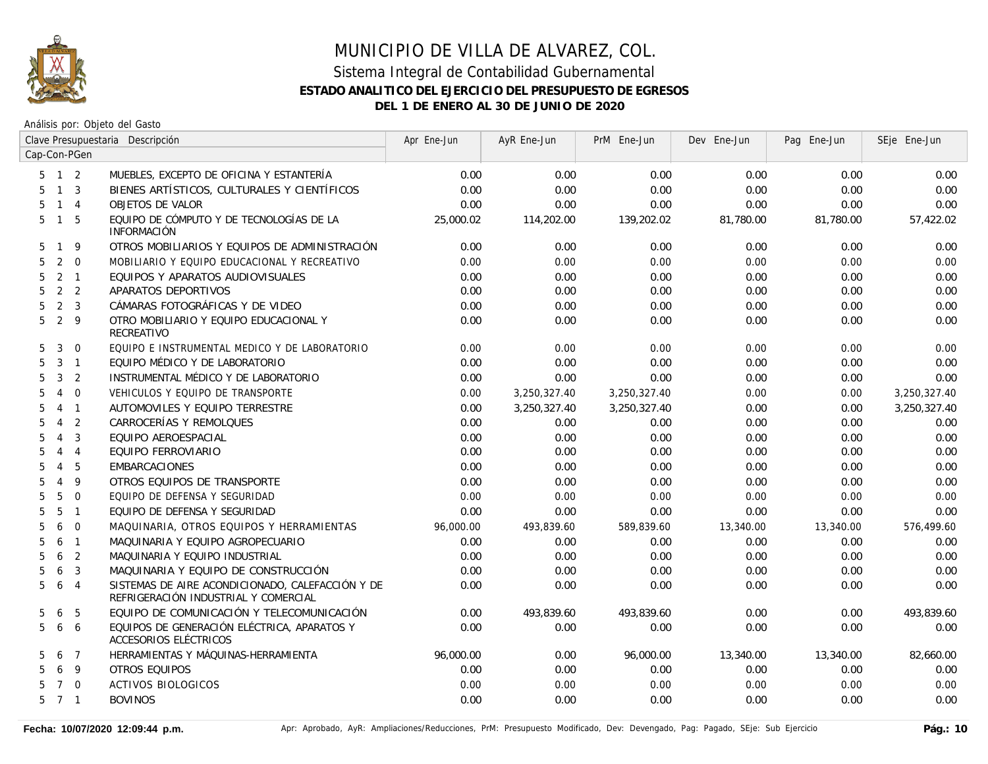

|                     |                |                | Clave Presupuestaria Descripción                                                         | Apr Ene-Jun | AyR Ene-Jun  | PrM Ene-Jun  | Dev Ene-Jun | Pag Ene-Jun | SEje Ene-Jun |
|---------------------|----------------|----------------|------------------------------------------------------------------------------------------|-------------|--------------|--------------|-------------|-------------|--------------|
| Cap-Con-PGen        |                |                |                                                                                          |             |              |              |             |             |              |
| $5 \quad 1 \quad 2$ |                |                | MUEBLES, EXCEPTO DE OFICINA Y ESTANTERÍA                                                 | 0.00        | 0.00         | 0.00         | 0.00        | 0.00        | 0.00         |
| 5                   | $1 \quad 3$    |                | BIENES ARTÍSTICOS, CULTURALES Y CIENTÍFICOS                                              | 0.00        | 0.00         | 0.00         | 0.00        | 0.00        | 0.00         |
| 5.                  | $1 \quad 4$    |                | OBJETOS DE VALOR                                                                         | 0.00        | 0.00         | 0.00         | 0.00        | 0.00        | 0.00         |
| 5                   | $\overline{1}$ | - 5            | EQUIPO DE CÓMPUTO Y DE TECNOLOGÍAS DE LA<br><b>INFORMACIÓN</b>                           | 25,000.02   | 114,202.00   | 139,202.02   | 81,780.00   | 81,780.00   | 57,422.02    |
| 5                   | $\mathbf{1}$   | 9              | OTROS MOBILIARIOS Y EQUIPOS DE ADMINISTRACIÓN                                            | 0.00        | 0.00         | 0.00         | 0.00        | 0.00        | 0.00         |
| 5                   | 2              | $\overline{0}$ | MOBILIARIO Y EQUIPO EDUCACIONAL Y RECREATIVO                                             | 0.00        | 0.00         | 0.00         | 0.00        | 0.00        | 0.00         |
| 5                   | 2 <sub>1</sub> |                | EQUIPOS Y APARATOS AUDIOVISUALES                                                         | 0.00        | 0.00         | 0.00         | 0.00        | 0.00        | 0.00         |
| 5                   | 2 <sub>2</sub> |                | APARATOS DEPORTIVOS                                                                      | 0.00        | 0.00         | 0.00         | 0.00        | 0.00        | 0.00         |
| 5                   | 2 <sup>3</sup> |                | CÁMARAS FOTOGRÁFICAS Y DE VIDEO                                                          | 0.00        | 0.00         | 0.00         | 0.00        | 0.00        | 0.00         |
| 5                   | 2 <sup>9</sup> |                | OTRO MOBILIARIO Y EQUIPO EDUCACIONAL Y<br>RECREATIVO                                     | 0.00        | 0.00         | 0.00         | 0.00        | 0.00        | 0.00         |
| 5                   | 3              | $\overline{0}$ | EQUIPO E INSTRUMENTAL MEDICO Y DE LABORATORIO                                            | 0.00        | 0.00         | 0.00         | 0.00        | 0.00        | 0.00         |
| 5                   | $3 \quad 1$    |                | EQUIPO MÉDICO Y DE LABORATORIO                                                           | 0.00        | 0.00         | 0.00         | 0.00        | 0.00        | 0.00         |
| 5                   | $\mathbf{3}$   | $\overline{2}$ | INSTRUMENTAL MÉDICO Y DE LABORATORIO                                                     | 0.00        | 0.00         | 0.00         | 0.00        | 0.00        | 0.00         |
| 5                   | $\overline{4}$ | $\mathbf 0$    | VEHICULOS Y EQUIPO DE TRANSPORTE                                                         | 0.00        | 3,250,327.40 | 3,250,327.40 | 0.00        | 0.00        | 3,250,327.40 |
| 5                   | $\overline{4}$ | $\overline{1}$ | AUTOMOVILES Y EQUIPO TERRESTRE                                                           | 0.00        | 3,250,327.40 | 3,250,327.40 | 0.00        | 0.00        | 3,250,327.40 |
| 5                   | $\overline{4}$ | 2              | CARROCERÍAS Y REMOLQUES                                                                  | 0.00        | 0.00         | 0.00         | 0.00        | 0.00        | 0.00         |
| 5                   | $\overline{4}$ | 3              | EQUIPO AEROESPACIAL                                                                      | 0.00        | 0.00         | 0.00         | 0.00        | 0.00        | 0.00         |
| 5                   | $\overline{4}$ | $\overline{4}$ | EQUIPO FERROVIARIO                                                                       | 0.00        | 0.00         | 0.00         | 0.00        | 0.00        | 0.00         |
| 5                   | $\overline{4}$ | 5              | <b>EMBARCACIONES</b>                                                                     | 0.00        | 0.00         | 0.00         | 0.00        | 0.00        | 0.00         |
| 5                   | $\overline{4}$ | 9              | OTROS EQUIPOS DE TRANSPORTE                                                              | 0.00        | 0.00         | 0.00         | 0.00        | 0.00        | 0.00         |
| 5                   | 5              | $\Omega$       | EQUIPO DE DEFENSA Y SEGURIDAD                                                            | 0.00        | 0.00         | 0.00         | 0.00        | 0.00        | 0.00         |
| 5                   | 5              | $\overline{1}$ | EQUIPO DE DEFENSA Y SEGURIDAD                                                            | 0.00        | 0.00         | 0.00         | 0.00        | 0.00        | 0.00         |
| 5                   | 6              | $\overline{0}$ | MAQUINARIA, OTROS EQUIPOS Y HERRAMIENTAS                                                 | 96,000.00   | 493,839.60   | 589,839.60   | 13,340.00   | 13,340.00   | 576,499.60   |
| 5                   | 6              | $\overline{1}$ | MAQUINARIA Y EQUIPO AGROPECUARIO                                                         | 0.00        | 0.00         | 0.00         | 0.00        | 0.00        | 0.00         |
| 5                   | 6              | $\overline{2}$ | MAQUINARIA Y EQUIPO INDUSTRIAL                                                           | 0.00        | 0.00         | 0.00         | 0.00        | 0.00        | 0.00         |
| 5                   | 6              | 3              | MAQUINARIA Y EQUIPO DE CONSTRUCCIÓN                                                      | 0.00        | 0.00         | 0.00         | 0.00        | 0.00        | 0.00         |
| 5                   | 6              | $\overline{4}$ | SISTEMAS DE AIRE ACONDICIONADO, CALEFACCIÓN Y DE<br>REFRIGERACIÓN INDUSTRIAL Y COMERCIAL | 0.00        | 0.00         | 0.00         | 0.00        | 0.00        | 0.00         |
| 5                   | 6              | 5              | EQUIPO DE COMUNICACIÓN Y TELECOMUNICACIÓN                                                | 0.00        | 493,839.60   | 493,839.60   | 0.00        | 0.00        | 493,839.60   |
| 5                   | 6              | 6              | EQUIPOS DE GENERACIÓN ELÉCTRICA, APARATOS Y<br>ACCESORIOS ELÉCTRICOS                     | 0.00        | 0.00         | 0.00         | 0.00        | 0.00        | 0.00         |
| 5.                  | 6              | $\overline{7}$ | HERRAMIENTAS Y MÁQUINAS-HERRAMIENTA                                                      | 96,000.00   | 0.00         | 96,000.00    | 13,340.00   | 13,340.00   | 82,660.00    |
| 5.                  | 6              | -9             | OTROS EQUIPOS                                                                            | 0.00        | 0.00         | 0.00         | 0.00        | 0.00        | 0.00         |
| 5.                  | $\overline{7}$ | $\overline{0}$ | <b>ACTIVOS BIOLOGICOS</b>                                                                | 0.00        | 0.00         | 0.00         | 0.00        | 0.00        | 0.00         |
| $5 \quad 7 \quad 1$ |                |                | <b>BOVINOS</b>                                                                           | 0.00        | 0.00         | 0.00         | 0.00        | 0.00        | 0.00         |
|                     |                |                |                                                                                          |             |              |              |             |             |              |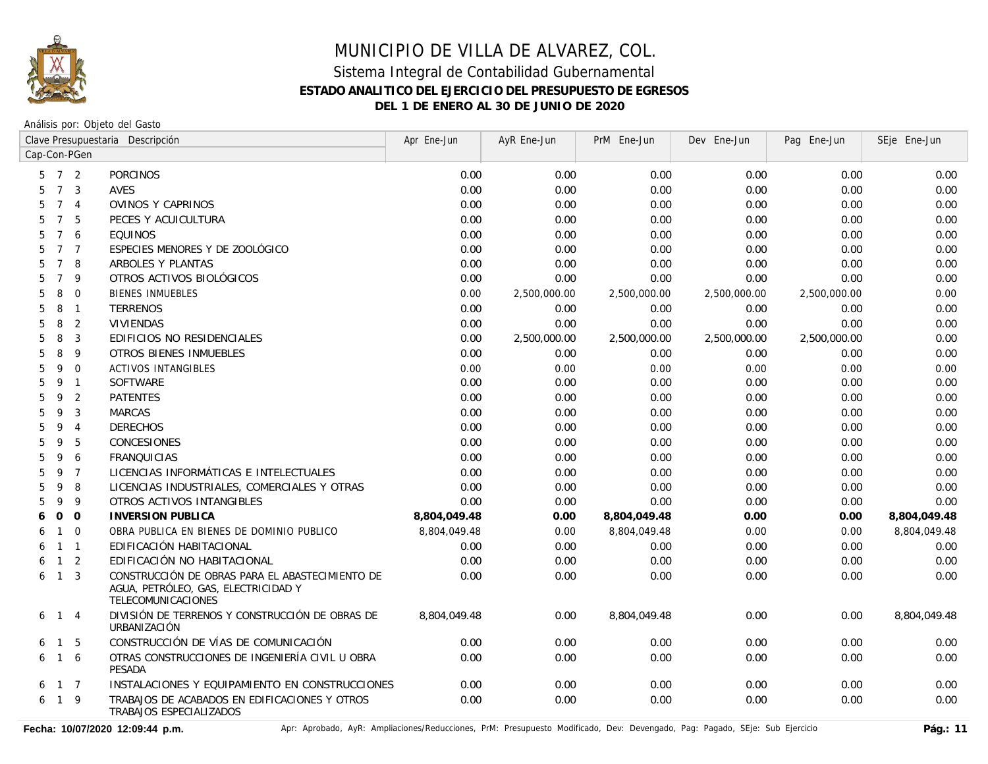

Análisis por: Objeto del Gasto

|                      |                | Clave Presupuestaria Descripción                                                                             | Apr Ene-Jun  | AyR Ene-Jun  | PrM Ene-Jun  | Dev Ene-Jun  | Pag Ene-Jun  | SEje Ene-Jun |
|----------------------|----------------|--------------------------------------------------------------------------------------------------------------|--------------|--------------|--------------|--------------|--------------|--------------|
| Cap-Con-PGen         |                |                                                                                                              |              |              |              |              |              |              |
| 5                    | 7 <sup>2</sup> | <b>PORCINOS</b>                                                                                              | 0.00         | 0.00         | 0.00         | 0.00         | 0.00         | 0.00         |
| $7\overline{ }$<br>5 | $\overline{3}$ | <b>AVES</b>                                                                                                  | 0.00         | 0.00         | 0.00         | 0.00         | 0.00         | 0.00         |
| $7^{\circ}$<br>5     | $\overline{4}$ | OVINOS Y CAPRINOS                                                                                            | 0.00         | 0.00         | 0.00         | 0.00         | 0.00         | 0.00         |
| $\overline{7}$<br>5  | 5              | PECES Y ACUICULTURA                                                                                          | 0.00         | 0.00         | 0.00         | 0.00         | 0.00         | 0.00         |
| $\overline{7}$<br>5  | 6              | <b>EQUINOS</b>                                                                                               | 0.00         | 0.00         | 0.00         | 0.00         | 0.00         | 0.00         |
| 5<br>$\overline{7}$  | $\overline{7}$ | ESPECIES MENORES Y DE ZOOLÓGICO                                                                              | 0.00         | 0.00         | 0.00         | 0.00         | 0.00         | 0.00         |
| $\overline{7}$<br>5  | 8              | ARBOLES Y PLANTAS                                                                                            | 0.00         | 0.00         | 0.00         | 0.00         | 0.00         | 0.00         |
| $\overline{7}$<br>5  | 9              | OTROS ACTIVOS BIOLÓGICOS                                                                                     | 0.00         | 0.00         | 0.00         | 0.00         | 0.00         | 0.00         |
| 8<br>5               | $\overline{0}$ | <b>BIENES INMUEBLES</b>                                                                                      | 0.00         | 2,500,000.00 | 2,500,000.00 | 2,500,000.00 | 2,500,000.00 | 0.00         |
| 8<br>5               | $\overline{1}$ | <b>TERRENOS</b>                                                                                              | 0.00         | 0.00         | 0.00         | 0.00         | 0.00         | 0.00         |
| 8<br>5               | 2              | <b>VIVIENDAS</b>                                                                                             | 0.00         | 0.00         | 0.00         | 0.00         | 0.00         | 0.00         |
| 8<br>5               | $\mathbf{3}$   | EDIFICIOS NO RESIDENCIALES                                                                                   | 0.00         | 2,500,000.00 | 2,500,000.00 | 2,500,000.00 | 2,500,000.00 | 0.00         |
| 8<br>5               | 9              | <b>OTROS BIENES INMUEBLES</b>                                                                                | 0.00         | 0.00         | 0.00         | 0.00         | 0.00         | 0.00         |
| 5<br>9               | $\overline{0}$ | <b>ACTIVOS INTANGIBLES</b>                                                                                   | 0.00         | 0.00         | 0.00         | 0.00         | 0.00         | 0.00         |
| 5<br>9               | $\overline{1}$ | <b>SOFTWARE</b>                                                                                              | 0.00         | 0.00         | 0.00         | 0.00         | 0.00         | 0.00         |
| 5<br>9               | 2              | <b>PATENTES</b>                                                                                              | 0.00         | 0.00         | 0.00         | 0.00         | 0.00         | 0.00         |
| 5<br>9               | 3              | <b>MARCAS</b>                                                                                                | 0.00         | 0.00         | 0.00         | 0.00         | 0.00         | 0.00         |
| 9<br>5               | $\overline{4}$ | <b>DERECHOS</b>                                                                                              | 0.00         | 0.00         | 0.00         | 0.00         | 0.00         | 0.00         |
| 5<br>9               | 5              | CONCESIONES                                                                                                  | 0.00         | 0.00         | 0.00         | 0.00         | 0.00         | 0.00         |
| 5<br>9               | 6              | <b>FRANQUICIAS</b>                                                                                           | 0.00         | 0.00         | 0.00         | 0.00         | 0.00         | 0.00         |
| 5<br>9               | $\overline{7}$ | LICENCIAS INFORMÁTICAS E INTELECTUALES                                                                       | 0.00         | 0.00         | 0.00         | 0.00         | 0.00         | 0.00         |
| 9<br>5               | 8              | LICENCIAS INDUSTRIALES, COMERCIALES Y OTRAS                                                                  | 0.00         | 0.00         | 0.00         | 0.00         | 0.00         | 0.00         |
| 5<br>9               | 9              | OTROS ACTIVOS INTANGIBLES                                                                                    | 0.00         | 0.00         | 0.00         | 0.00         | 0.00         | 0.00         |
| $\circ$<br>6         | $\mathbf 0$    | <b>INVERSION PUBLICA</b>                                                                                     | 8,804,049.48 | 0.00         | 8,804,049.48 | 0.00         | 0.00         | 8,804,049.48 |
| $\mathbf{1}$<br>6    | $\Omega$       | OBRA PUBLICA EN BIENES DE DOMINIO PUBLICO                                                                    | 8,804,049.48 | 0.00         | 8,804,049.48 | 0.00         | 0.00         | 8,804,049.48 |
| 6<br>$\mathbf{1}$    | $\overline{1}$ | EDIFICACIÓN HABITACIONAL                                                                                     | 0.00         | 0.00         | 0.00         | 0.00         | 0.00         | 0.00         |
| $\mathbf{1}$<br>6    | 2              | EDIFICACIÓN NO HABITACIONAL                                                                                  | 0.00         | 0.00         | 0.00         | 0.00         | 0.00         | 0.00         |
| $\mathbf{1}$<br>6    | $\overline{3}$ | CONSTRUCCIÓN DE OBRAS PARA EL ABASTECIMIENTO DE<br>AGUA, PETRÓLEO, GAS, ELECTRICIDAD Y<br>TELECOMUNICACIONES | 0.00         | 0.00         | 0.00         | 0.00         | 0.00         | 0.00         |
| $\mathbf{1}$<br>6    | $\overline{4}$ | DIVISIÓN DE TERRENOS Y CONSTRUCCIÓN DE OBRAS DE<br>URBANIZACIÓN                                              | 8,804,049.48 | 0.00         | 8,804,049.48 | 0.00         | 0.00         | 8,804,049.48 |
| $\mathbf{1}$<br>6    | -5             | CONSTRUCCIÓN DE VÍAS DE COMUNICACIÓN                                                                         | 0.00         | 0.00         | 0.00         | 0.00         | 0.00         | 0.00         |
| $\overline{1}$<br>6  | 6              | OTRAS CONSTRUCCIONES DE INGENIERÍA CIVIL U OBRA<br>PESADA                                                    | 0.00         | 0.00         | 0.00         | 0.00         | 0.00         | 0.00         |
| 6                    | $1 \quad 7$    | INSTALACIONES Y EQUIPAMIENTO EN CONSTRUCCIONES                                                               | 0.00         | 0.00         | 0.00         | 0.00         | 0.00         | 0.00         |
| 6<br>$\overline{1}$  | 9              | TRABAJOS DE ACABADOS EN EDIFICACIONES Y OTROS<br>TRABAJOS ESPECIALIZADOS                                     | 0.00         | 0.00         | 0.00         | 0.00         | 0.00         | 0.00         |

Fecha: 10/07/2020 12:09:44 p.m. **Aprichationes/Reducciones, PrM: Presupuesto Modificado**, Dev: Devengado, Pag: Pagado, SEje: Sub Ejercicio Pág.: 11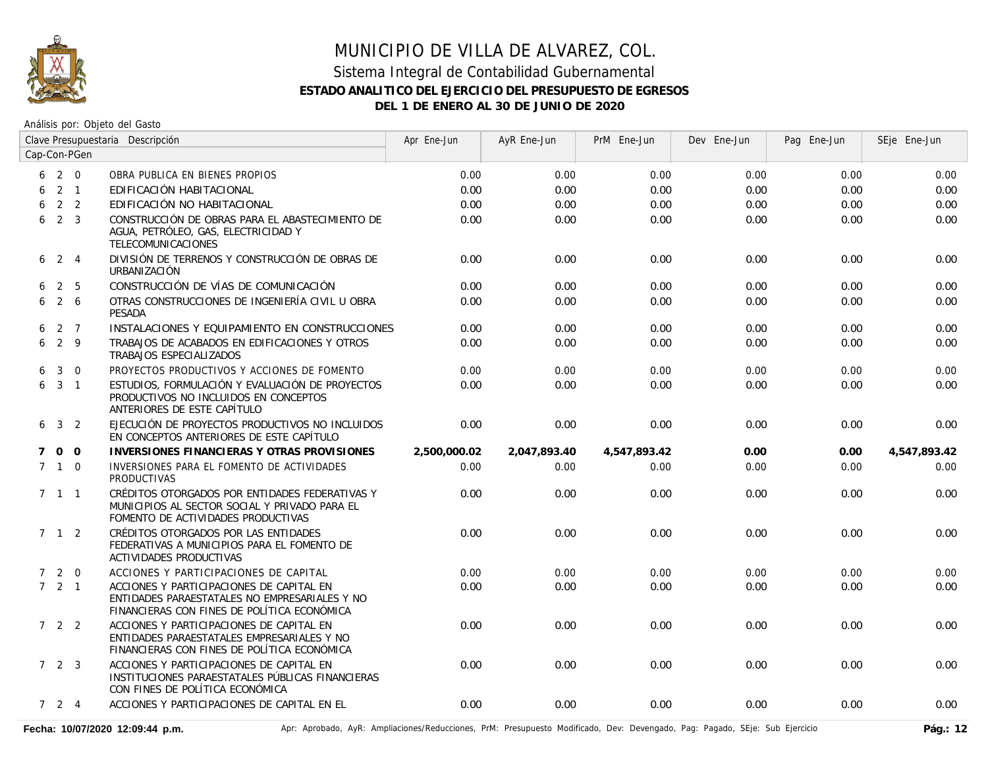

#### Sistema Integral de Contabilidad Gubernamental **ESTADO ANALITICO DEL EJERCICIO DEL PRESUPUESTO DE EGRESOS DEL 1 DE ENERO AL 30 DE JUNIO DE 2020**

Análisis por: Objeto del Gasto

|   | Clave Presupuestaria Descripción |                 |                                                                                                                                          | Apr Ene-Jun  | AyR Ene-Jun  | PrM Ene-Jun  | Dev Ene-Jun | Pag Ene-Jun | SEje Ene-Jun |
|---|----------------------------------|-----------------|------------------------------------------------------------------------------------------------------------------------------------------|--------------|--------------|--------------|-------------|-------------|--------------|
|   |                                  | Cap-Con-PGen    |                                                                                                                                          |              |              |              |             |             |              |
|   | $6\quad 2\quad 0$                |                 | OBRA PUBLICA EN BIENES PROPIOS                                                                                                           | 0.00         | 0.00         | 0.00         | 0.00        | 0.00        | 0.00         |
| 6 |                                  | $2 \quad 1$     | EDIFICACIÓN HABITACIONAL                                                                                                                 | 0.00         | 0.00         | 0.00         | 0.00        | 0.00        | 0.00         |
| 6 |                                  | 2 <sub>2</sub>  | EDIFICACIÓN NO HABITACIONAL                                                                                                              | 0.00         | 0.00         | 0.00         | 0.00        | 0.00        | 0.00         |
| 6 |                                  | 2 <sup>3</sup>  | CONSTRUCCIÓN DE OBRAS PARA EL ABASTECIMIENTO DE<br>AGUA, PETRÓLEO, GAS, ELECTRICIDAD Y<br>TELECOMUNICACIONES                             | 0.00         | 0.00         | 0.00         | 0.00        | 0.00        | 0.00         |
|   | $6 \t2 \t4$                      |                 | DIVISIÓN DE TERRENOS Y CONSTRUCCIÓN DE OBRAS DE<br>URBANIZACIÓN                                                                          | 0.00         | 0.00         | 0.00         | 0.00        | 0.00        | 0.00         |
| 6 |                                  | 2 5             | CONSTRUCCIÓN DE VÍAS DE COMUNICACIÓN                                                                                                     | 0.00         | 0.00         | 0.00         | 0.00        | 0.00        | 0.00         |
| 6 |                                  | $2\overline{6}$ | OTRAS CONSTRUCCIONES DE INGENIERÍA CIVIL U OBRA<br>PESADA                                                                                | 0.00         | 0.00         | 0.00         | 0.00        | 0.00        | 0.00         |
| 6 |                                  | 2 7             | INSTALACIONES Y EQUIPAMIENTO EN CONSTRUCCIONES                                                                                           | 0.00         | 0.00         | 0.00         | 0.00        | 0.00        | 0.00         |
| 6 | 2 9                              |                 | TRABAJOS DE ACABADOS EN EDIFICACIONES Y OTROS<br>TRABAJOS ESPECIALIZADOS                                                                 | 0.00         | 0.00         | 0.00         | 0.00        | 0.00        | 0.00         |
| 6 | $\mathbf{3}$                     | $\overline{0}$  | PROYECTOS PRODUCTIVOS Y ACCIONES DE FOMENTO                                                                                              | 0.00         | 0.00         | 0.00         | 0.00        | 0.00        | 0.00         |
|   | $6\quad 3\quad 1$                |                 | ESTUDIOS, FORMULACIÓN Y EVALUACIÓN DE PROYECTOS<br>PRODUCTIVOS NO INCLUIDOS EN CONCEPTOS<br>ANTERIORES DE ESTE CAPÍTULO                  | 0.00         | 0.00         | 0.00         | 0.00        | 0.00        | 0.00         |
|   | $6 \t3 \t2$                      |                 | EJECUCIÓN DE PROYECTOS PRODUCTIVOS NO INCLUIDOS<br>EN CONCEPTOS ANTERIORES DE ESTE CAPÍTULO                                              | 0.00         | 0.00         | 0.00         | 0.00        | 0.00        | 0.00         |
| 7 |                                  | $0\quad 0$      | <b>INVERSIONES FINANCIERAS Y OTRAS PROVISIONES</b>                                                                                       | 2,500,000.02 | 2,047,893.40 | 4,547,893.42 | 0.00        | 0.00        | 4,547,893.42 |
|   | $7 \quad 1 \quad 0$              |                 | INVERSIONES PARA EL FOMENTO DE ACTIVIDADES<br><b>PRODUCTIVAS</b>                                                                         | 0.00         | 0.00         | 0.00         | 0.00        | 0.00        | 0.00         |
|   | $7 \t1 \t1$                      |                 | CRÉDITOS OTORGADOS POR ENTIDADES FEDERATIVAS Y<br>MUNICIPIOS AL SECTOR SOCIAL Y PRIVADO PARA EL<br>FOMENTO DE ACTIVIDADES PRODUCTIVAS    | 0.00         | 0.00         | 0.00         | 0.00        | 0.00        | 0.00         |
|   | 7 1 2                            |                 | CRÉDITOS OTORGADOS POR LAS ENTIDADES<br>FEDERATIVAS A MUNICIPIOS PARA EL FOMENTO DE<br>ACTIVIDADES PRODUCTIVAS                           | 0.00         | 0.00         | 0.00         | 0.00        | 0.00        | 0.00         |
|   | 720                              |                 | ACCIONES Y PARTICIPACIONES DE CAPITAL                                                                                                    | 0.00         | 0.00         | 0.00         | 0.00        | 0.00        | 0.00         |
|   | $7 \quad 2 \quad 1$              |                 | ACCIONES Y PARTICIPACIONES DE CAPITAL EN<br>ENTIDADES PARAESTATALES NO EMPRESARIALES Y NO<br>FINANCIERAS CON FINES DE POLÍTICA ECONÓMICA | 0.00         | 0.00         | 0.00         | 0.00        | 0.00        | 0.00         |
|   | 7 2 2                            |                 | ACCIONES Y PARTICIPACIONES DE CAPITAL EN<br>ENTIDADES PARAESTATALES EMPRESARIALES Y NO<br>FINANCIERAS CON FINES DE POLÍTICA ECONÓMICA    | 0.00         | 0.00         | 0.00         | 0.00        | 0.00        | 0.00         |
|   | $7\quad 2\quad 3$                |                 | ACCIONES Y PARTICIPACIONES DE CAPITAL EN<br>INSTITUCIONES PARAESTATALES PÚBLICAS FINANCIERAS<br>CON FINES DE POLÍTICA ECONÓMICA          | 0.00         | 0.00         | 0.00         | 0.00        | 0.00        | 0.00         |
|   | $7 \quad 2 \quad 4$              |                 | ACCIONES Y PARTICIPACIONES DE CAPITAL EN EL                                                                                              | 0.00         | 0.00         | 0.00         | 0.00        | 0.00        | 0.00         |

Fecha: 10/07/2020 12:09:44 p.m. **Antical Apripal Apripal Apripal Apripal Apripal Apripal Apripal Apripal Apripal Apripal Apripal Apripal Apripal Apripal Apripal Apripal Apripal Apripal Apripal Apripal Apripal Apripal Aprip**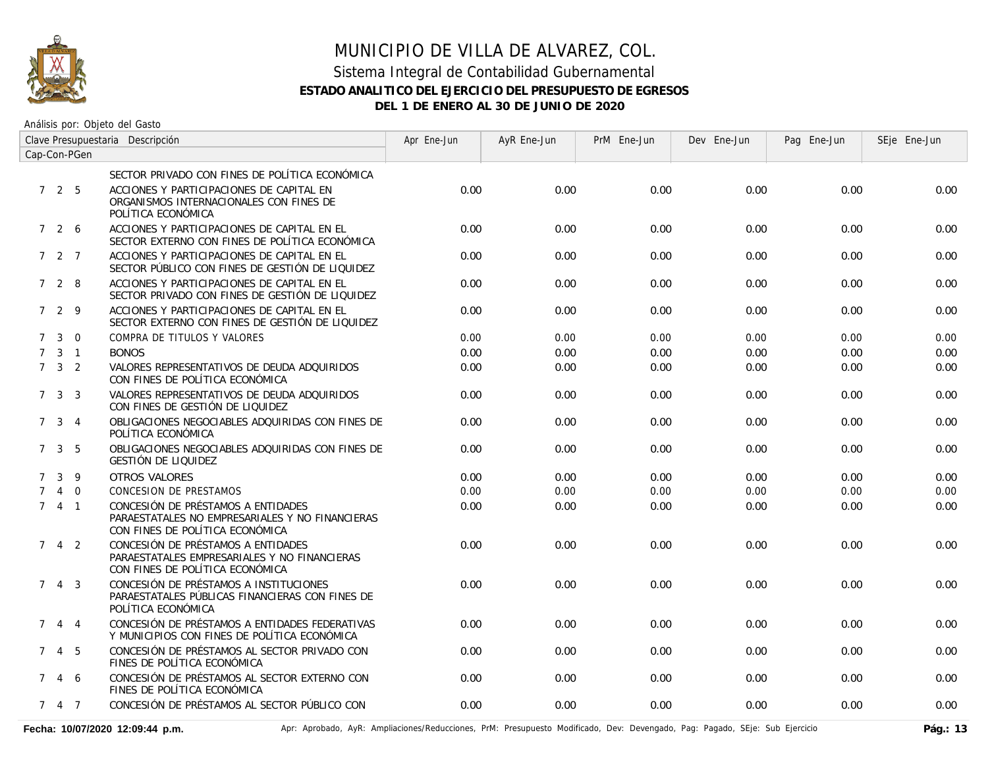

#### Sistema Integral de Contabilidad Gubernamental **ESTADO ANALITICO DEL EJERCICIO DEL PRESUPUESTO DE EGRESOS DEL 1 DE ENERO AL 30 DE JUNIO DE 2020**

| Clave Presupuestaria Descripción<br>Cap-Con-PGen |                     |                |                                                                                                                          | Apr Ene-Jun | AyR Ene-Jun | PrM Ene-Jun | Dev Ene-Jun | Pag Ene-Jun | SEje Ene-Jun |
|--------------------------------------------------|---------------------|----------------|--------------------------------------------------------------------------------------------------------------------------|-------------|-------------|-------------|-------------|-------------|--------------|
|                                                  |                     |                |                                                                                                                          |             |             |             |             |             |              |
|                                                  |                     |                | SECTOR PRIVADO CON FINES DE POLÍTICA ECONÓMICA                                                                           |             |             |             |             |             |              |
|                                                  | 725                 |                | ACCIONES Y PARTICIPACIONES DE CAPITAL EN<br>ORGANISMOS INTERNACIONALES CON FINES DE<br>POLÍTICA ECONÓMICA                | 0.00        | 0.00        | 0.00        | 0.00        | 0.00        | 0.00         |
|                                                  | 726                 |                | ACCIONES Y PARTICIPACIONES DE CAPITAL EN EL<br>SECTOR EXTERNO CON FINES DE POLÍTICA ECONÓMICA                            | 0.00        | 0.00        | 0.00        | 0.00        | 0.00        | 0.00         |
|                                                  | 7 2 7               |                | ACCIONES Y PARTICIPACIONES DE CAPITAL EN EL<br>SECTOR PÚBLICO CON FINES DE GESTIÓN DE LIQUIDEZ                           | 0.00        | 0.00        | 0.00        | 0.00        | 0.00        | 0.00         |
|                                                  | 7 2 8               |                | ACCIONES Y PARTICIPACIONES DE CAPITAL EN EL<br>SECTOR PRIVADO CON FINES DE GESTIÓN DE LIQUIDEZ                           | 0.00        | 0.00        | 0.00        | 0.00        | 0.00        | 0.00         |
|                                                  | 7 2 9               |                | ACCIONES Y PARTICIPACIONES DE CAPITAL EN EL<br>SECTOR EXTERNO CON FINES DE GESTIÓN DE LIQUIDEZ                           | 0.00        | 0.00        | 0.00        | 0.00        | 0.00        | 0.00         |
| $7^{\circ}$                                      | $\mathbf{3}$        | $\Omega$       | COMPRA DE TITULOS Y VALORES                                                                                              | 0.00        | 0.00        | 0.00        | 0.00        | 0.00        | 0.00         |
| $7^{\circ}$                                      |                     | $3 \quad 1$    | <b>BONOS</b>                                                                                                             | 0.00        | 0.00        | 0.00        | 0.00        | 0.00        | 0.00         |
|                                                  | $7 \quad 3 \quad 2$ |                | VALORES REPRESENTATIVOS DE DEUDA ADQUIRIDOS<br>CON FINES DE POLÍTICA ECONÓMICA                                           | 0.00        | 0.00        | 0.00        | 0.00        | 0.00        | 0.00         |
|                                                  | $7 \quad 3 \quad 3$ |                | VALORES REPRESENTATIVOS DE DEUDA ADQUIRIDOS<br>CON FINES DE GESTIÓN DE LIQUIDEZ                                          | 0.00        | 0.00        | 0.00        | 0.00        | 0.00        | 0.00         |
|                                                  | 7 <sup>3</sup>      | $\overline{4}$ | OBLIGACIONES NEGOCIABLES ADQUIRIDAS CON FINES DE<br>POLÍTICA ECONÓMICA                                                   | 0.00        | 0.00        | 0.00        | 0.00        | 0.00        | 0.00         |
|                                                  | $7 \quad 3 \quad 5$ |                | OBLIGACIONES NEGOCIABLES ADOUIRIDAS CON FINES DE<br>GESTIÓN DE LIQUIDEZ                                                  | 0.00        | 0.00        | 0.00        | 0.00        | 0.00        | 0.00         |
| $7^{\circ}$                                      | $\mathbf{3}$        | - 9            | OTROS VALORES                                                                                                            | 0.00        | 0.00        | 0.00        | 0.00        | 0.00        | 0.00         |
| $7^{\circ}$                                      |                     | 4 0            | <b>CONCESION DE PRESTAMOS</b>                                                                                            | 0.00        | 0.00        | 0.00        | 0.00        | 0.00        | 0.00         |
|                                                  | 741                 |                | CONCESIÓN DE PRÉSTAMOS A ENTIDADES<br>PARAESTATALES NO EMPRESARIALES Y NO FINANCIERAS<br>CON FINES DE POLÍTICA ECONÓMICA | 0.00        | 0.00        | 0.00        | 0.00        | 0.00        | 0.00         |
| $7^{\circ}$                                      |                     | 4 2            | CONCESIÓN DE PRÉSTAMOS A ENTIDADES<br>PARAESTATALES EMPRESARIALES Y NO FINANCIERAS<br>CON FINES DE POLÍTICA ECONÓMICA    | 0.00        | 0.00        | 0.00        | 0.00        | 0.00        | 0.00         |
|                                                  | $7\quad 4\quad 3$   |                | CONCESIÓN DE PRÉSTAMOS A INSTITUCIONES<br>PARAESTATALES PÚBLICAS FINANCIERAS CON FINES DE<br>POLÍTICA ECONÓMICA          | 0.00        | 0.00        | 0.00        | 0.00        | 0.00        | 0.00         |
| $7^{\circ}$                                      | $\overline{4}$      | $\overline{4}$ | CONCESIÓN DE PRÉSTAMOS A ENTIDADES FEDERATIVAS<br>Y MUNICIPIOS CON FINES DE POLÍTICA ECONÓMICA                           | 0.00        | 0.00        | 0.00        | 0.00        | 0.00        | 0.00         |
|                                                  | 7 4 5               |                | CONCESIÓN DE PRÉSTAMOS AL SECTOR PRIVADO CON<br>FINES DE POLÍTICA ECONÓMICA                                              | 0.00        | 0.00        | 0.00        | 0.00        | 0.00        | 0.00         |
|                                                  | 7 4 6               |                | CONCESIÓN DE PRÉSTAMOS AL SECTOR EXTERNO CON<br>FINES DE POLÍTICA ECONÓMICA                                              | 0.00        | 0.00        | 0.00        | 0.00        | 0.00        | 0.00         |
|                                                  | 7 4 7               |                | CONCESIÓN DE PRÉSTAMOS AL SECTOR PÚBLICO CON                                                                             | 0.00        | 0.00        | 0.00        | 0.00        | 0.00        | 0.00         |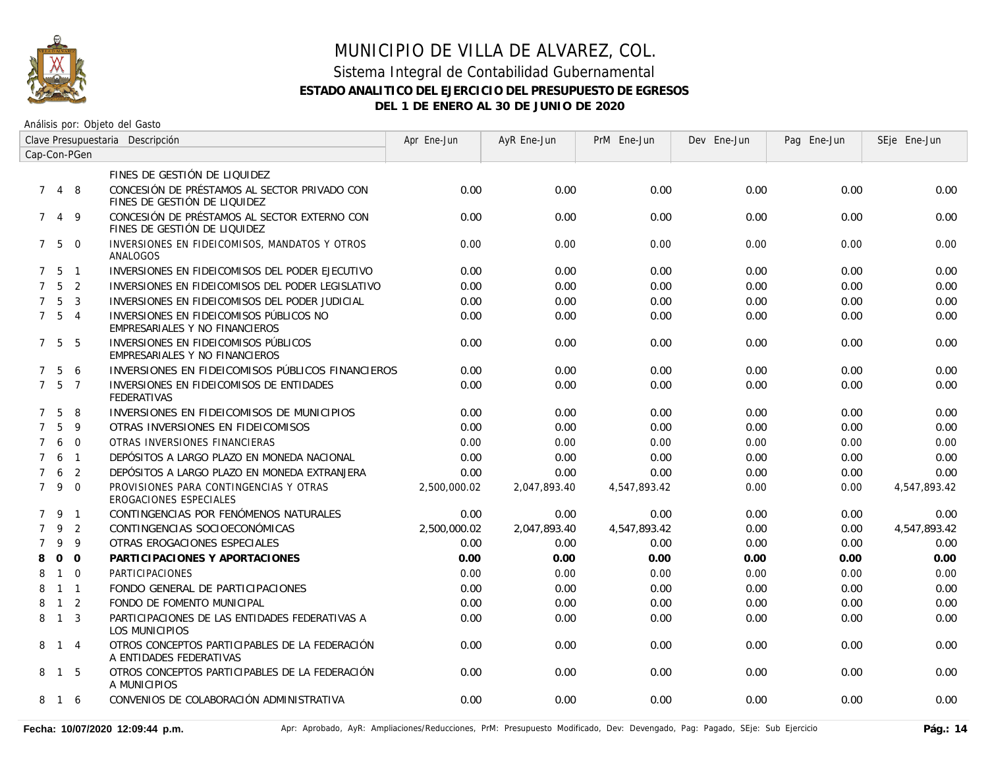

#### Sistema Integral de Contabilidad Gubernamental **ESTADO ANALITICO DEL EJERCICIO DEL PRESUPUESTO DE EGRESOS DEL 1 DE ENERO AL 30 DE JUNIO DE 2020**

| Clave Presupuestaria Descripción |                   |                |                                                                              | Apr Ene-Jun  | AyR Ene-Jun  | PrM Ene-Jun  | Dev Ene-Jun | Pag Ene-Jun | SEje Ene-Jun |
|----------------------------------|-------------------|----------------|------------------------------------------------------------------------------|--------------|--------------|--------------|-------------|-------------|--------------|
|                                  | Cap-Con-PGen      |                |                                                                              |              |              |              |             |             |              |
|                                  |                   |                | FINES DE GESTIÓN DE LIQUIDEZ                                                 |              |              |              |             |             |              |
| $7^{\circ}$                      | $\overline{4}$    | 8              | CONCESIÓN DE PRÉSTAMOS AL SECTOR PRIVADO CON<br>FINES DE GESTIÓN DE LIQUIDEZ | 0.00         | 0.00         | 0.00         | 0.00        | 0.00        | 0.00         |
| $7^{\circ}$                      | $\overline{4}$    | 9              | CONCESIÓN DE PRÉSTAMOS AL SECTOR EXTERNO CON<br>FINES DE GESTIÓN DE LIQUIDEZ | 0.00         | 0.00         | 0.00         | 0.00        | 0.00        | 0.00         |
|                                  | 750               |                | INVERSIONES EN FIDEICOMISOS, MANDATOS Y OTROS<br>ANALOGOS                    | 0.00         | 0.00         | 0.00         | 0.00        | 0.00        | 0.00         |
|                                  | $7\quad 5\quad 1$ |                | INVERSIONES EN FIDEICOMISOS DEL PODER EJECUTIVO                              | 0.00         | 0.00         | 0.00         | 0.00        | 0.00        | 0.00         |
| $7^{\circ}$                      | 5                 | 2              | INVERSIONES EN FIDEICOMISOS DEL PODER LEGISLATIVO                            | 0.00         | 0.00         | 0.00         | 0.00        | 0.00        | 0.00         |
| $\overline{7}$                   | -5                | $\overline{3}$ | INVERSIONES EN FIDEICOMISOS DEL PODER JUDICIAL                               | 0.00         | 0.00         | 0.00         | 0.00        | 0.00        | 0.00         |
|                                  | $7\quad 5\quad 4$ |                | INVERSIONES EN FIDEICOMISOS PÚBLICOS NO<br>EMPRESARIALES Y NO FINANCIEROS    | 0.00         | 0.00         | 0.00         | 0.00        | 0.00        | 0.00         |
|                                  | 7 5               | -5             | INVERSIONES EN FIDEICOMISOS PÚBLICOS<br>EMPRESARIALES Y NO FINANCIEROS       | 0.00         | 0.00         | 0.00         | 0.00        | 0.00        | 0.00         |
| $7^{\circ}$                      | 5                 | 6              | INVERSIONES EN FIDEICOMISOS PÚBLICOS FINANCIEROS                             | 0.00         | 0.00         | 0.00         | 0.00        | 0.00        | 0.00         |
|                                  | 7 5               | $\overline{7}$ | INVERSIONES EN FIDEICOMISOS DE ENTIDADES<br><b>FEDERATIVAS</b>               | 0.00         | 0.00         | 0.00         | 0.00        | 0.00        | 0.00         |
| $7^{\circ}$                      | 5                 | 8              | INVERSIONES EN FIDEICOMISOS DE MUNICIPIOS                                    | 0.00         | 0.00         | 0.00         | 0.00        | 0.00        | 0.00         |
| $\overline{7}$                   | 5                 | 9              | OTRAS INVERSIONES EN FIDEICOMISOS                                            | 0.00         | 0.00         | 0.00         | 0.00        | 0.00        | 0.00         |
| $7^{\circ}$                      | 6                 | $\Omega$       | OTRAS INVERSIONES FINANCIERAS                                                | 0.00         | 0.00         | 0.00         | 0.00        | 0.00        | 0.00         |
| $7^{\circ}$                      | 6                 | $\overline{1}$ | DEPÓSITOS A LARGO PLAZO EN MONEDA NACIONAL                                   | 0.00         | 0.00         | 0.00         | 0.00        | 0.00        | 0.00         |
| $7^{\circ}$                      | 6                 | 2              | DEPÓSITOS A LARGO PLAZO EN MONEDA EXTRANJERA                                 | 0.00         | 0.00         | 0.00         | 0.00        | 0.00        | 0.00         |
|                                  | 790               |                | PROVISIONES PARA CONTINGENCIAS Y OTRAS<br>EROGACIONES ESPECIALES             | 2,500,000.02 | 2.047.893.40 | 4,547,893.42 | 0.00        | 0.00        | 4,547,893.42 |
|                                  | 7 9 1             |                | CONTINGENCIAS POR FENÓMENOS NATURALES                                        | 0.00         | 0.00         | 0.00         | 0.00        | 0.00        | 0.00         |
| $\overline{7}$                   | 9                 | 2              | CONTINGENCIAS SOCIOECONÓMICAS                                                | 2,500,000.02 | 2,047,893.40 | 4,547,893.42 | 0.00        | 0.00        | 4,547,893.42 |
| $\overline{7}$                   | 9                 | -9             | OTRAS EROGACIONES ESPECIALES                                                 | 0.00         | 0.00         | 0.00         | 0.00        | 0.00        | 0.00         |
| 8                                |                   | $0\quad 0$     | PARTICIPACIONES Y APORTACIONES                                               | 0.00         | 0.00         | 0.00         | 0.00        | 0.00        | 0.00         |
| 8                                | $\overline{1}$    | $\Omega$       | <b>PARTICIPACIONES</b>                                                       | 0.00         | 0.00         | 0.00         | 0.00        | 0.00        | 0.00         |
| 8                                | $1 \quad 1$       |                | FONDO GENERAL DE PARTICIPACIONES                                             | 0.00         | 0.00         | 0.00         | 0.00        | 0.00        | 0.00         |
| 8                                | $1\quad 2$        |                | FONDO DE FOMENTO MUNICIPAL                                                   | 0.00         | 0.00         | 0.00         | 0.00        | 0.00        | 0.00         |
| 8                                | $1 \quad 3$       |                | PARTICIPACIONES DE LAS ENTIDADES FEDERATIVAS A<br>LOS MUNICIPIOS             | 0.00         | 0.00         | 0.00         | 0.00        | 0.00        | 0.00         |
|                                  | 8 1 4             |                | OTROS CONCEPTOS PARTICIPABLES DE LA FEDERACIÓN<br>A ENTIDADES FEDERATIVAS    | 0.00         | 0.00         | 0.00         | 0.00        | 0.00        | 0.00         |
|                                  | 8 1 5             |                | OTROS CONCEPTOS PARTICIPABLES DE LA FEDERACIÓN<br>A MUNICIPIOS               | 0.00         | 0.00         | 0.00         | 0.00        | 0.00        | 0.00         |
|                                  | 8 1 6             |                | CONVENIOS DE COLABORACIÓN ADMINISTRATIVA                                     | 0.00         | 0.00         | 0.00         | 0.00        | 0.00        | 0.00         |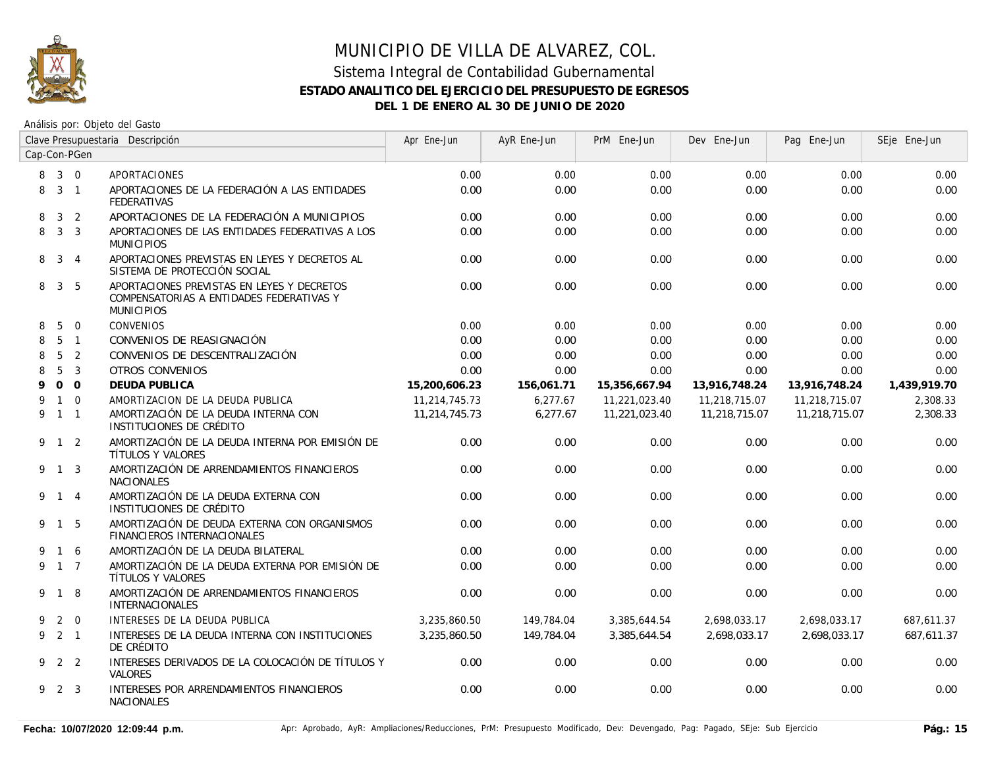

## MUNICIPIO DE VILLA DE ALVAREZ, COL. Sistema Integral de Contabilidad Gubernamental **ESTADO ANALITICO DEL EJERCICIO DEL PRESUPUESTO DE EGRESOS**

**DEL 1 DE ENERO AL 30 DE JUNIO DE 2020**

| Clave Presupuestaria Descripción |                |                |                                                                                                             | Apr Ene-Jun   | AyR Ene-Jun | PrM Ene-Jun   | Dev Ene-Jun   | Pag Ene-Jun   | SEje Ene-Jun |
|----------------------------------|----------------|----------------|-------------------------------------------------------------------------------------------------------------|---------------|-------------|---------------|---------------|---------------|--------------|
| Cap-Con-PGen                     |                |                |                                                                                                             |               |             |               |               |               |              |
| 8                                | $3 \quad 0$    |                | APORTACIONES                                                                                                | 0.00          | 0.00        | 0.00          | 0.00          | 0.00          | 0.00         |
| 8                                | $3 \quad 1$    |                | APORTACIONES DE LA FEDERACIÓN A LAS ENTIDADES<br><b>FEDERATIVAS</b>                                         | 0.00          | 0.00        | 0.00          | 0.00          | 0.00          | 0.00         |
| 8                                | 3              | 2              | APORTACIONES DE LA FEDERACIÓN A MUNICIPIOS                                                                  | 0.00          | 0.00        | 0.00          | 0.00          | 0.00          | 0.00         |
| 8                                | 3 <sup>3</sup> |                | APORTACIONES DE LAS ENTIDADES FEDERATIVAS A LOS<br><b>MUNICIPIOS</b>                                        | 0.00          | 0.00        | 0.00          | 0.00          | 0.00          | 0.00         |
| 8                                |                | $3 \quad 4$    | APORTACIONES PREVISTAS EN LEYES Y DECRETOS AL<br>SISTEMA DE PROTECCIÓN SOCIAL                               | 0.00          | 0.00        | 0.00          | 0.00          | 0.00          | 0.00         |
| 8                                | 3 <sub>5</sub> |                | APORTACIONES PREVISTAS EN LEYES Y DECRETOS<br>COMPENSATORIAS A ENTIDADES FEDERATIVAS Y<br><b>MUNICIPIOS</b> | 0.00          | 0.00        | 0.00          | 0.00          | 0.00          | 0.00         |
| 8                                | 5              | $\overline{0}$ | <b>CONVENIOS</b>                                                                                            | 0.00          | 0.00        | 0.00          | 0.00          | 0.00          | 0.00         |
| 8                                |                | 5 <sub>1</sub> | CONVENIOS DE REASIGNACIÓN                                                                                   | 0.00          | 0.00        | 0.00          | 0.00          | 0.00          | 0.00         |
| 8                                | 5              | 2              | CONVENIOS DE DESCENTRALIZACIÓN                                                                              | 0.00          | 0.00        | 0.00          | 0.00          | 0.00          | 0.00         |
| 8                                | 5              | $\overline{3}$ | <b>OTROS CONVENIOS</b>                                                                                      | 0.00          | 0.00        | 0.00          | 0.00          | 0.00          | 0.00         |
| 9                                | $0\quad 0$     |                | <b>DEUDA PUBLICA</b>                                                                                        | 15,200,606.23 | 156,061.71  | 15,356,667.94 | 13,916,748.24 | 13,916,748.24 | 1,439,919.70 |
| 9                                |                | $1 \quad 0$    | AMORTIZACION DE LA DEUDA PUBLICA                                                                            | 11,214,745.73 | 6,277.67    | 11,221,023.40 | 11,218,715.07 | 11,218,715.07 | 2,308.33     |
|                                  | 9 1 1          |                | AMORTIZACIÓN DE LA DEUDA INTERNA CON<br>INSTITUCIONES DE CRÉDITO                                            | 11,214,745.73 | 6.277.67    | 11,221,023.40 | 11,218,715.07 | 11.218.715.07 | 2,308.33     |
|                                  | $9 \t1 \t2$    |                | AMORTIZACIÓN DE LA DEUDA INTERNA POR EMISIÓN DE<br>TÍTULOS Y VALORES                                        | 0.00          | 0.00        | 0.00          | 0.00          | 0.00          | 0.00         |
|                                  | 9 1 3          |                | AMORTIZACIÓN DE ARRENDAMIENTOS FINANCIEROS<br><b>NACIONALES</b>                                             | 0.00          | 0.00        | 0.00          | 0.00          | 0.00          | 0.00         |
|                                  | 9 1 4          |                | AMORTIZACIÓN DE LA DEUDA EXTERNA CON<br>INSTITUCIONES DE CRÉDITO                                            | 0.00          | 0.00        | 0.00          | 0.00          | 0.00          | 0.00         |
|                                  | 9 1 5          |                | AMORTIZACIÓN DE DEUDA EXTERNA CON ORGANISMOS<br>FINANCIEROS INTERNACIONALES                                 | 0.00          | 0.00        | 0.00          | 0.00          | 0.00          | 0.00         |
|                                  | $1\quad6$      |                | AMORTIZACIÓN DE LA DEUDA BILATERAL                                                                          | 0.00          | 0.00        | 0.00          | 0.00          | 0.00          | 0.00         |
|                                  | 9 1 7          |                | AMORTIZACIÓN DE LA DEUDA EXTERNA POR EMISIÓN DE<br>TÍTULOS Y VALORES                                        | 0.00          | 0.00        | 0.00          | 0.00          | 0.00          | 0.00         |
|                                  | 9 1 8          |                | AMORTIZACIÓN DE ARRENDAMIENTOS FINANCIEROS<br>INTERNACIONALES                                               | 0.00          | 0.00        | 0.00          | 0.00          | 0.00          | 0.00         |
| 9                                |                | $2 \quad 0$    | INTERESES DE LA DEUDA PUBLICA                                                                               | 3,235,860.50  | 149,784.04  | 3,385,644.54  | 2,698,033.17  | 2,698,033.17  | 687,611.37   |
|                                  | $9$ 2 1        |                | INTERESES DE LA DEUDA INTERNA CON INSTITUCIONES<br>DE CRÉDITO                                               | 3,235,860.50  | 149,784.04  | 3,385,644.54  | 2,698,033.17  | 2,698,033.17  | 687,611.37   |
|                                  | 9 2 2          |                | INTERESES DERIVADOS DE LA COLOCACIÓN DE TÍTULOS Y<br>VALORES                                                | 0.00          | 0.00        | 0.00          | 0.00          | 0.00          | 0.00         |
|                                  | 9 2 3          |                | INTERESES POR ARRENDAMIENTOS FINANCIEROS<br><b>NACIONALES</b>                                               | 0.00          | 0.00        | 0.00          | 0.00          | 0.00          | 0.00         |